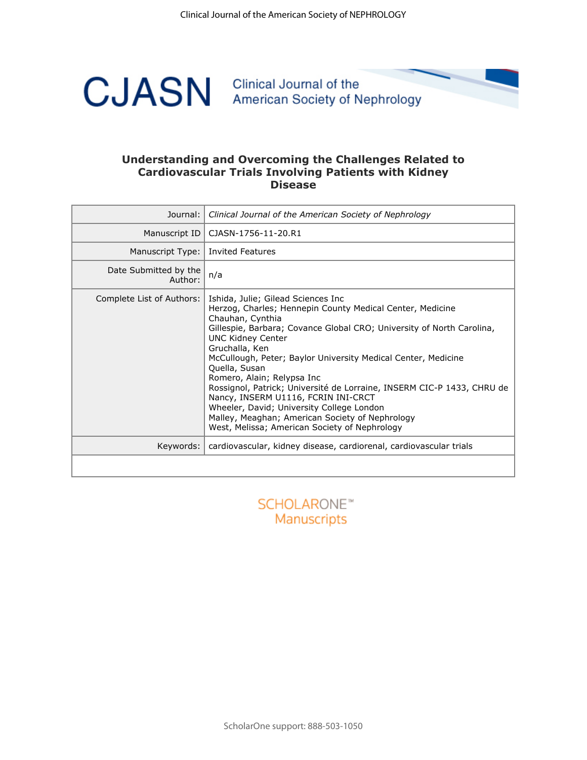

### **Understanding and Overcoming the Challenges Related to Cardiovascular Trials Involving Patients with Kidney Disease**

| Journal:                         | Clinical Journal of the American Society of Nephrology                                                                                                                                                                                                                                                                                                                                                                                                                                                                                                                                                                       |
|----------------------------------|------------------------------------------------------------------------------------------------------------------------------------------------------------------------------------------------------------------------------------------------------------------------------------------------------------------------------------------------------------------------------------------------------------------------------------------------------------------------------------------------------------------------------------------------------------------------------------------------------------------------------|
| Manuscript ID                    | CJASN-1756-11-20.R1                                                                                                                                                                                                                                                                                                                                                                                                                                                                                                                                                                                                          |
| Manuscript Type:                 | <b>Invited Features</b>                                                                                                                                                                                                                                                                                                                                                                                                                                                                                                                                                                                                      |
| Date Submitted by the<br>Author: | n/a                                                                                                                                                                                                                                                                                                                                                                                                                                                                                                                                                                                                                          |
| Complete List of Authors:        | Ishida, Julie; Gilead Sciences Inc<br>Herzog, Charles; Hennepin County Medical Center, Medicine<br>Chauhan, Cynthia<br>Gillespie, Barbara; Covance Global CRO; University of North Carolina,<br><b>UNC Kidney Center</b><br>Gruchalla, Ken<br>McCullough, Peter; Baylor University Medical Center, Medicine<br>Quella, Susan<br>Romero, Alain; Relypsa Inc<br>Rossignol, Patrick; Université de Lorraine, INSERM CIC-P 1433, CHRU de<br>Nancy, INSERM U1116, FCRIN INI-CRCT<br>Wheeler, David; University College London<br>Malley, Meaghan; American Society of Nephrology<br>West, Melissa; American Society of Nephrology |
| Keywords:                        | cardiovascular, kidney disease, cardiorenal, cardiovascular trials                                                                                                                                                                                                                                                                                                                                                                                                                                                                                                                                                           |
|                                  |                                                                                                                                                                                                                                                                                                                                                                                                                                                                                                                                                                                                                              |
|                                  |                                                                                                                                                                                                                                                                                                                                                                                                                                                                                                                                                                                                                              |

Manuscripts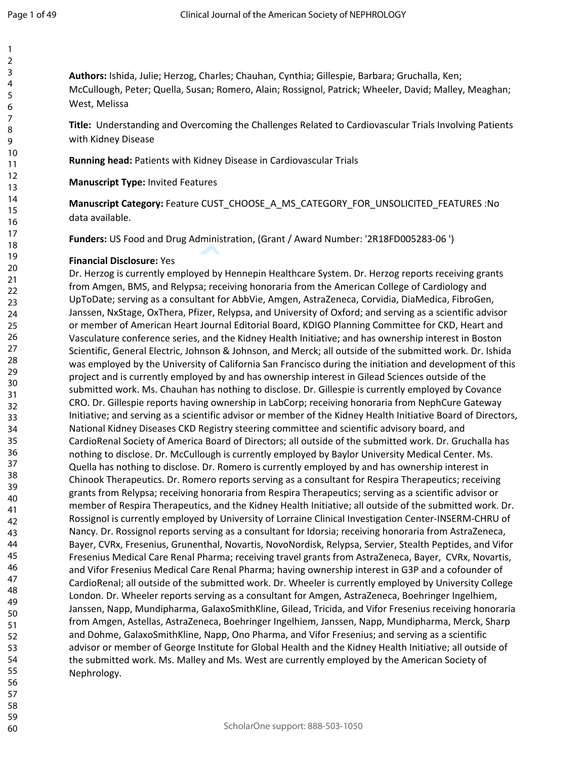**Authors:** Ishida, Julie; Herzog, Charles; Chauhan, Cynthia; Gillespie, Barbara; Gruchalla, Ken; McCullough, Peter; Quella, Susan; Romero, Alain; Rossignol, Patrick; Wheeler, David; Malley, Meaghan; West, Melissa

**Title:** Understanding and Overcoming the Challenges Related to Cardiovascular Trials Involving Patients with Kidney Disease

**Running head:** Patients with Kidney Disease in Cardiovascular Trials

**Manuscript Type:** Invited Features

**Manuscript Category:** Feature CUST\_CHOOSE\_A\_MS\_CATEGORY\_FOR\_UNSOLICITED\_FEATURES :No data available.

**Funders:** US Food and Drug Administration, (Grant / Award Number: '2R18FD005283-06 ')

#### **Financial Disclosure:** Yes

oyed by Hennepin Healthcare System. Dr. Herzo<br>psa; receiving honoraria from the American Coll<br>ultant for AbbVie, Amgen, AstraZeneca, Corvidia<br>Pfizer, Relypsa, and University of Oxford; and se<br>art Journal Editorial Board, K Dr. Herzog is currently employed by Hennepin Healthcare System. Dr. Herzog reports receiving grants from Amgen, BMS, and Relypsa; receiving honoraria from the American College of Cardiology and UpToDate; serving as a consultant for AbbVie, Amgen, AstraZeneca, Corvidia, DiaMedica, FibroGen, Janssen, NxStage, OxThera, Pfizer, Relypsa, and University of Oxford; and serving as a scientific advisor or member of American Heart Journal Editorial Board, KDIGO Planning Committee for CKD, Heart and Vasculature conference series, and the Kidney Health Initiative; and has ownership interest in Boston Scientific, General Electric, Johnson & Johnson, and Merck; all outside of the submitted work. Dr. Ishida was employed by the University of California San Francisco during the initiation and development of this project and is currently employed by and has ownership interest in Gilead Sciences outside of the submitted work. Ms. Chauhan has nothing to disclose. Dr. Gillespie is currently employed by Covance CRO. Dr. Gillespie reports having ownership in LabCorp; receiving honoraria from NephCure Gateway Initiative; and serving as a scientific advisor or member of the Kidney Health Initiative Board of Directors, National Kidney Diseases CKD Registry steering committee and scientific advisory board, and CardioRenal Society of America Board of Directors; all outside of the submitted work. Dr. Gruchalla has nothing to disclose. Dr. McCullough is currently employed by Baylor University Medical Center. Ms. Quella has nothing to disclose. Dr. Romero is currently employed by and has ownership interest in Chinook Therapeutics. Dr. Romero reports serving as a consultant for Respira Therapeutics; receiving grants from Relypsa; receiving honoraria from Respira Therapeutics; serving as a scientific advisor or member of Respira Therapeutics, and the Kidney Health Initiative; all outside of the submitted work. Dr. Rossignol is currently employed by University of Lorraine Clinical Investigation Center-INSERM-CHRU of Nancy. Dr. Rossignol reports serving as a consultant for Idorsia; receiving honoraria from AstraZeneca, Bayer, CVRx, Fresenius, Grunenthal, Novartis, NovoNordisk, Relypsa, Servier, Stealth Peptides, and Vifor Fresenius Medical Care Renal Pharma; receiving travel grants from AstraZeneca, Bayer, CVRx, Novartis, and Vifor Fresenius Medical Care Renal Pharma; having ownership interest in G3P and a cofounder of CardioRenal; all outside of the submitted work. Dr. Wheeler is currently employed by University College London. Dr. Wheeler reports serving as a consultant for Amgen, AstraZeneca, Boehringer Ingelhiem, Janssen, Napp, Mundipharma, GalaxoSmithKline, Gilead, Tricida, and Vifor Fresenius receiving honoraria from Amgen, Astellas, AstraZeneca, Boehringer Ingelhiem, Janssen, Napp, Mundipharma, Merck, Sharp and Dohme, GalaxoSmithKline, Napp, Ono Pharma, and Vifor Fresenius; and serving as a scientific advisor or member of George Institute for Global Health and the Kidney Health Initiative; all outside of the submitted work. Ms. Malley and Ms. West are currently employed by the American Society of Nephrology.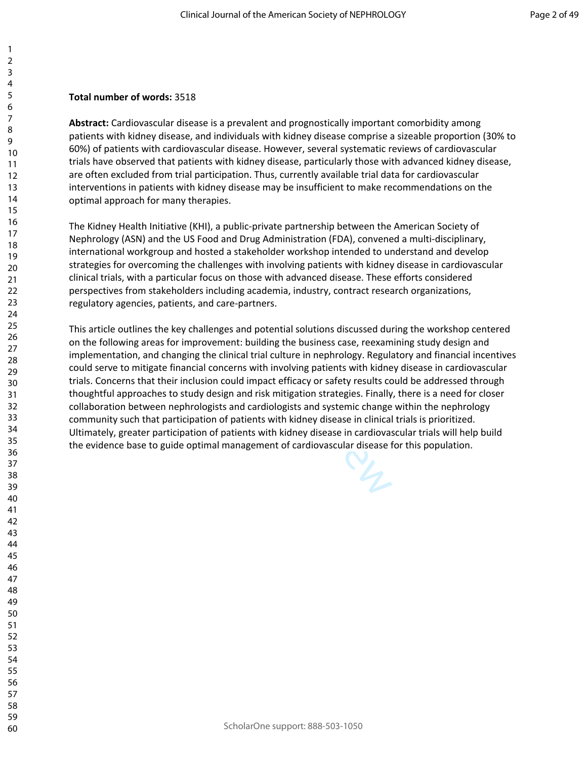### **Total number of words:** 3518

**Abstract:** Cardiovascular disease is a prevalent and prognostically important comorbidity among patients with kidney disease, and individuals with kidney disease comprise a sizeable proportion (30% to 60%) of patients with cardiovascular disease. However, several systematic reviews of cardiovascular trials have observed that patients with kidney disease, particularly those with advanced kidney disease, are often excluded from trial participation. Thus, currently available trial data for cardiovascular interventions in patients with kidney disease may be insufficient to make recommendations on the optimal approach for many therapies.

The Kidney Health Initiative (KHI), a public-private partnership between the American Society of Nephrology (ASN) and the US Food and Drug Administration (FDA), convened a multi-disciplinary, international workgroup and hosted a stakeholder workshop intended to understand and develop strategies for overcoming the challenges with involving patients with kidney disease in cardiovascular clinical trials, with a particular focus on those with advanced disease. These efforts considered perspectives from stakeholders including academia, industry, contract research organizations, regulatory agencies, patients, and care-partners.

d hosted a stakeholder workshop intended to ur<br>ne challenges with involving patients with kidney<br>ar focus on those with advanced disease. These<br>ders including academia, industry, contract resea<br>s, and care-partners.<br>challe This article outlines the key challenges and potential solutions discussed during the workshop centered on the following areas for improvement: building the business case, reexamining study design and implementation, and changing the clinical trial culture in nephrology. Regulatory and financial incentives could serve to mitigate financial concerns with involving patients with kidney disease in cardiovascular trials. Concerns that their inclusion could impact efficacy or safety results could be addressed through thoughtful approaches to study design and risk mitigation strategies. Finally, there is a need for closer collaboration between nephrologists and cardiologists and systemic change within the nephrology community such that participation of patients with kidney disease in clinical trials is prioritized. Ultimately, greater participation of patients with kidney disease in cardiovascular trials will help build the evidence base to guide optimal management of cardiovascular disease for this population.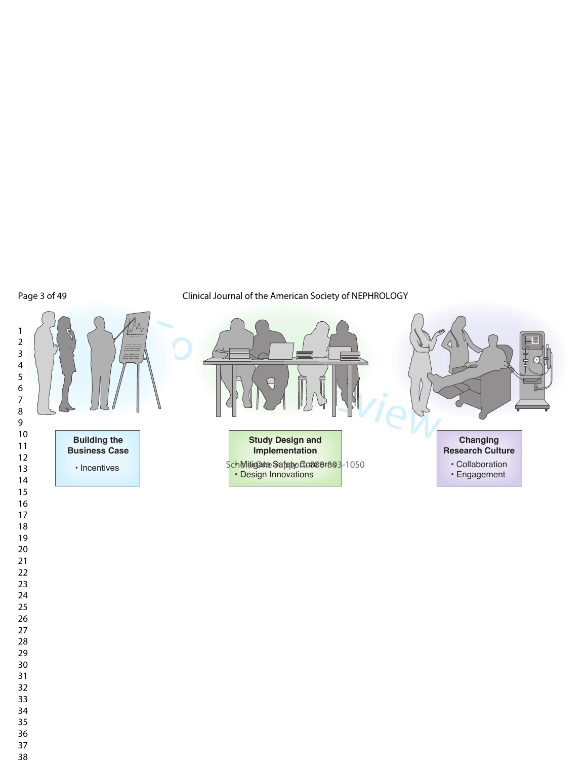Page 3 of 49

Clinical Journal of the American Society of NEPHROLOGY





**Study Design and Implementation**

SchMitigate Safety Go866F583-1050 • Design Innovations



• Collaboration

• Engagement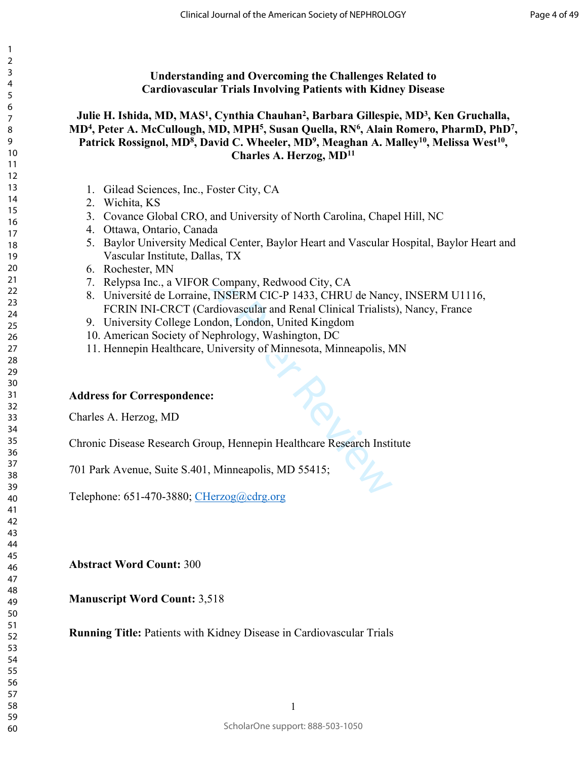## **Understanding and Overcoming the Challenges Related to Cardiovascular Trials Involving Patients with Kidney Disease**

### **Julie H. Ishida, MD, MAS<sup>1</sup> , Cynthia Chauhan<sup>2</sup> , Barbara Gillespie, MD<sup>3</sup> , Ken Gruchalla, MD<sup>4</sup> , Peter A. McCullough, MD, MPH<sup>5</sup> , Susan Quella, RN<sup>6</sup> , Alain Romero, PharmD, PhD<sup>7</sup> ,**  Patrick Rossignol, MD<sup>8</sup>, David C. Wheeler, MD<sup>9</sup>, Meaghan A. Malley<sup>10</sup>, Melissa West<sup>10</sup>, **Charles A. Herzog, MD<sup>11</sup>**

- 1. Gilead Sciences, Inc., Foster City, CA
- 2. Wichita, KS
- 3. Covance Global CRO, and University of North Carolina, Chapel Hill, NC
- 4. Ottawa, Ontario, Canada
- 5. Baylor University Medical Center, Baylor Heart and Vascular Hospital, Baylor Heart and Vascular Institute, Dallas, TX
- 6. Rochester, MN
- 7. Relypsa Inc., a VIFOR Company, Redwood City, CA
- For Company, Redwood City, CA<br>
FOR Company, Redwood City, CA<br>
aine, INSERM CIC-P 1433, CHRU de Nanc<br>
(Cardiovascular and Renal Clinical Trialists<br>
E London, London, United Kingdom<br>
of Nephrology, Washington, DC<br>
are, Unive 8. Université de Lorraine, INSERM CIC-P 1433, CHRU de Nancy, INSERM U1116, FCRIN INI-CRCT (Cardiovascular and Renal Clinical Trialists), Nancy, France
- 9. University College London, London, United Kingdom
- 10. American Society of Nephrology, Washington, DC
- 11. Hennepin Healthcare, University of Minnesota, Minneapolis, MN

### **Address for Correspondence:**

Charles A. Herzog, MD

Chronic Disease Research Group, Hennepin Healthcare Research Institute

701 Park Avenue, Suite S.401, Minneapolis, MD 55415;

Telephone: 651-470-3880; [CHerzog@cdrg.org](mailto:CHerzog@cdrg.org)

**Abstract Word Count:** 300

**Manuscript Word Count:** 3,518

**Running Title:** Patients with Kidney Disease in Cardiovascular Trials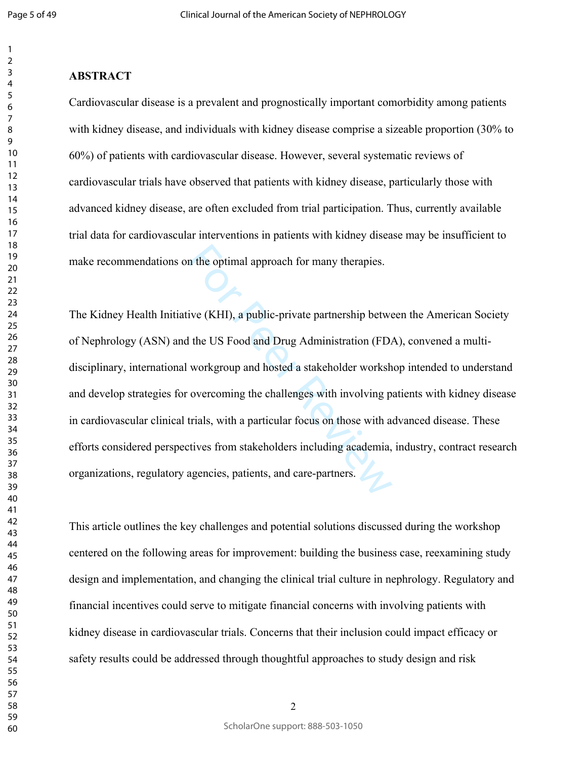$\overline{2}$ 

#### $\overline{7}$

### **ABSTRACT**

Cardiovascular disease is a prevalent and prognostically important comorbidity among patients with kidney disease, and individuals with kidney disease comprise a sizeable proportion (30% to 60%) of patients with cardiovascular disease. However, several systematic reviews of cardiovascular trials have observed that patients with kidney disease, particularly those with advanced kidney disease, are often excluded from trial participation. Thus, currently available trial data for cardiovascular interventions in patients with kidney disease may be insufficient to make recommendations on the optimal approach for many therapies.

In the optimal approach for many therapies.<br>
ive (KHI), a public-private partnership betwe<br>
the US Food and Drug Administration (FD<sub>4</sub><br>
workgroup and hosted a stakeholder worksh<br>
overcoming the challenges with involving p<br> The Kidney Health Initiative (KHI), a public-private partnership between the American Society of Nephrology (ASN) and the US Food and Drug Administration (FDA), convened a multidisciplinary, international workgroup and hosted a stakeholder workshop intended to understand and develop strategies for overcoming the challenges with involving patients with kidney disease in cardiovascular clinical trials, with a particular focus on those with advanced disease. These efforts considered perspectives from stakeholders including academia, industry, contract research organizations, regulatory agencies, patients, and care-partners.

This article outlines the key challenges and potential solutions discussed during the workshop centered on the following areas for improvement: building the business case, reexamining study design and implementation, and changing the clinical trial culture in nephrology. Regulatory and financial incentives could serve to mitigate financial concerns with involving patients with kidney disease in cardiovascular trials. Concerns that their inclusion could impact efficacy or safety results could be addressed through thoughtful approaches to study design and risk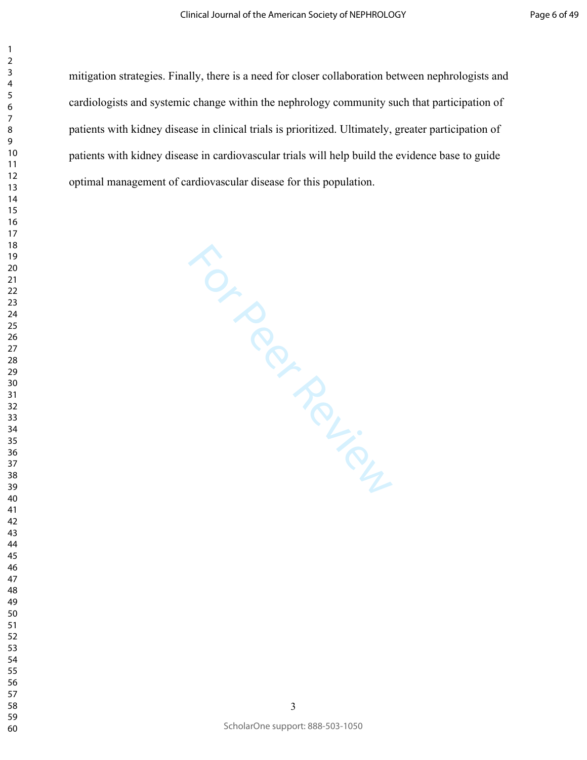mitigation strategies. Finally, there is a need for closer collaboration between nephrologists and cardiologists and systemic change within the nephrology community such that participation of patients with kidney disease in clinical trials is prioritized. Ultimately, greater participation of patients with kidney disease in cardiovascular trials will help build the evidence base to guide optimal management of cardiovascular disease for this population.

For Peer Felicy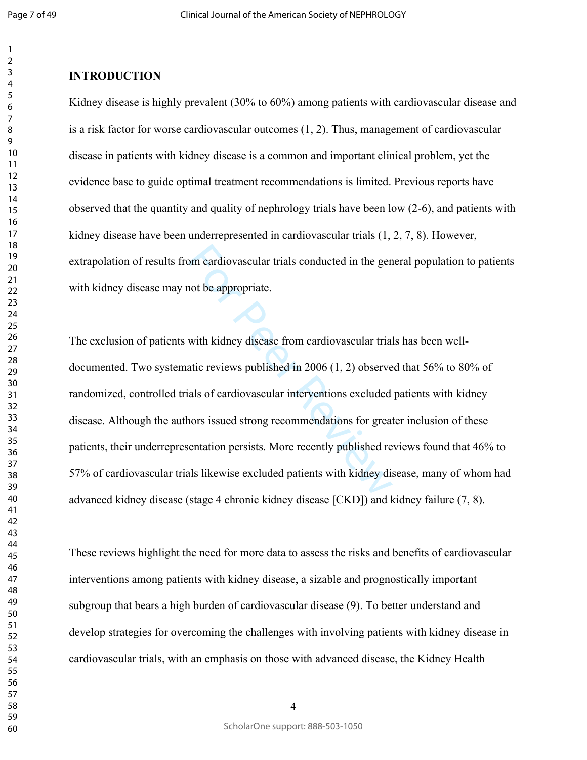#### $\overline{2}$

### **INTRODUCTION**

Kidney disease is highly prevalent (30% to 60%) among patients with cardiovascular disease and is a risk factor for worse cardiovascular outcomes ([1,](#page-25-0) [2\)](#page-25-1). Thus, management of cardiovascular disease in patients with kidney disease is a common and important clinical problem, yet the evidence base to guide optimal treatment recommendations is limited. Previous reports have observed that the quantity and quality of nephrology trials have been low ([2-6\)](#page-25-1), and patients with kidney disease have been underrepresented in cardiovascular trials ([1,](#page-25-0) [2,](#page-25-1) [7,](#page-26-0) [8\)](#page-26-1). However, extrapolation of results from cardiovascular trials conducted in the general population to patients with kidney disease may not be appropriate.

om cardiovascular trials conducted in the gen<br>not be appropriate.<br>with kidney disease from cardiovascular trial<br>atic reviews published in 2006 (1, 2) observe<br>als of cardiovascular interventions excluded<br>nors issued strong The exclusion of patients with kidney disease from cardiovascular trials has been welldocumented. Two systematic reviews published in 2006 (1, 2) observed that 56% to 80% of randomized, controlled trials of cardiovascular interventions excluded patients with kidney disease. Although the authors issued strong recommendations for greater inclusion of these patients, their underrepresentation persists. More recently published reviews found that 46% to 57% of cardiovascular trials likewise excluded patients with kidney disease, many of whom had advanced kidney disease (stage 4 chronic kidney disease [CKD]) and kidney failure [\(7](#page-26-0), [8](#page-26-1)).

These reviews highlight the need for more data to assess the risks and benefits of cardiovascular interventions among patients with kidney disease, a sizable and prognostically important subgroup that bears a high burden of cardiovascular disease ([9\)](#page-26-2). To better understand and develop strategies for overcoming the challenges with involving patients with kidney disease in cardiovascular trials, with an emphasis on those with advanced disease, the Kidney Health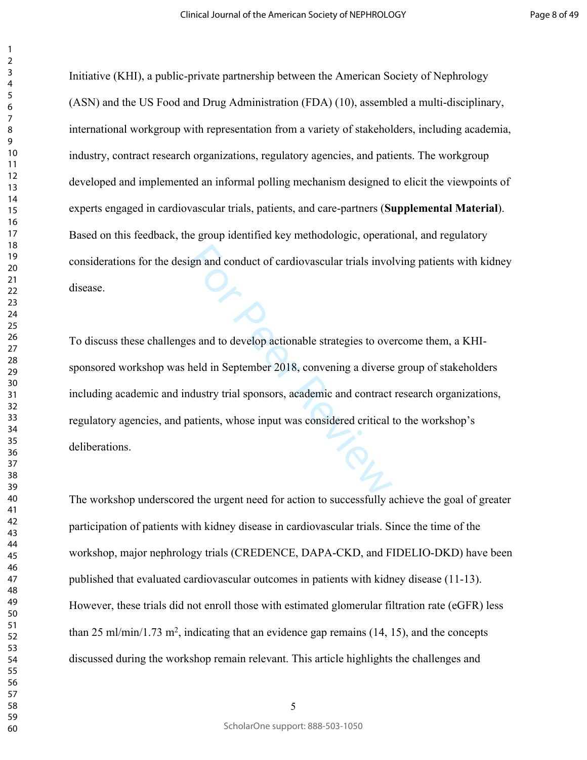Initiative (KHI), a public-private partnership between the American Society of Nephrology (ASN) and the US Food and Drug Administration (FDA) ([10\)](#page-26-3), assembled a multi-disciplinary, international workgroup with representation from a variety of stakeholders, including academia, industry, contract research organizations, regulatory agencies, and patients. The workgroup developed and implemented an informal polling mechanism designed to elicit the viewpoints of experts engaged in cardiovascular trials, patients, and care-partners (**Supplemental Material**). Based on this feedback, the group identified key methodologic, operational, and regulatory considerations for the design and conduct of cardiovascular trials involving patients with kidney disease.

For and conduct of cardiovascular trials involved<br>See and to develop actionable strategies to over<br>held in September 2018, convening a diverse<br>dustry trial sponsors, academic and contract<br>valients, whose input was consider To discuss these challenges and to develop actionable strategies to overcome them, a KHIsponsored workshop was held in September 2018, convening a diverse group of stakeholders including academic and industry trial sponsors, academic and contract research organizations, regulatory agencies, and patients, whose input was considered critical to the workshop's deliberations.

The workshop underscored the urgent need for action to successfully achieve the goal of greater participation of patients with kidney disease in cardiovascular trials. Since the time of the workshop, major nephrology trials (CREDENCE, DAPA-CKD, and FIDELIO-DKD) have been published that evaluated cardiovascular outcomes in patients with kidney disease ([11-13\)](#page-26-4). However, these trials did not enroll those with estimated glomerular filtration rate (eGFR) less than 25 ml/min/1.73 m<sup>2</sup>, indicating that an evidence gap remains  $(14, 15)$  $(14, 15)$  $(14, 15)$  $(14, 15)$ , and the concepts discussed during the workshop remain relevant. This article highlights the challenges and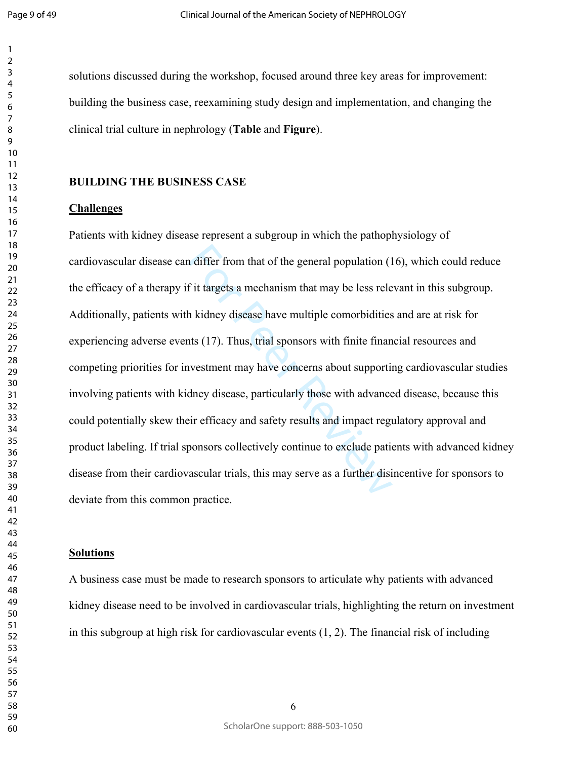Page 9 of 49

solutions discussed during the workshop, focused around three key areas for improvement: building the business case, reexamining study design and implementation, and changing the clinical trial culture in nephrology (**Table** and **Figure**).

#### **BUILDING THE BUSINESS CASE**

#### **Challenges**

I differ from that of the general population (1<br>
f it targets a mechanism that may be less rele<br>
h kidney disease have multiple comorbidities<br>
its (17). Thus, trial sponsors with finite finan<br>
nvestment may have concerns a Patients with kidney disease represent a subgroup in which the pathophysiology of cardiovascular disease can differ from that of the general population ([16\)](#page-27-2), which could reduce the efficacy of a therapy if it targets a mechanism that may be less relevant in this subgroup. Additionally, patients with kidney disease have multiple comorbidities and are at risk for experiencing adverse events (17). Thus, trial sponsors with finite financial resources and competing priorities for investment may have concerns about supporting cardiovascular studies involving patients with kidney disease, particularly those with advanced disease, because this could potentially skew their efficacy and safety results and impact regulatory approval and product labeling. If trial sponsors collectively continue to exclude patients with advanced kidney disease from their cardiovascular trials, this may serve as a further disincentive for sponsors to deviate from this common practice.

#### **Solutions**

A business case must be made to research sponsors to articulate why patients with advanced kidney disease need to be involved in cardiovascular trials, highlighting the return on investment in this subgroup at high risk for cardiovascular events ([1,](#page-25-0) [2\)](#page-25-1). The financial risk of including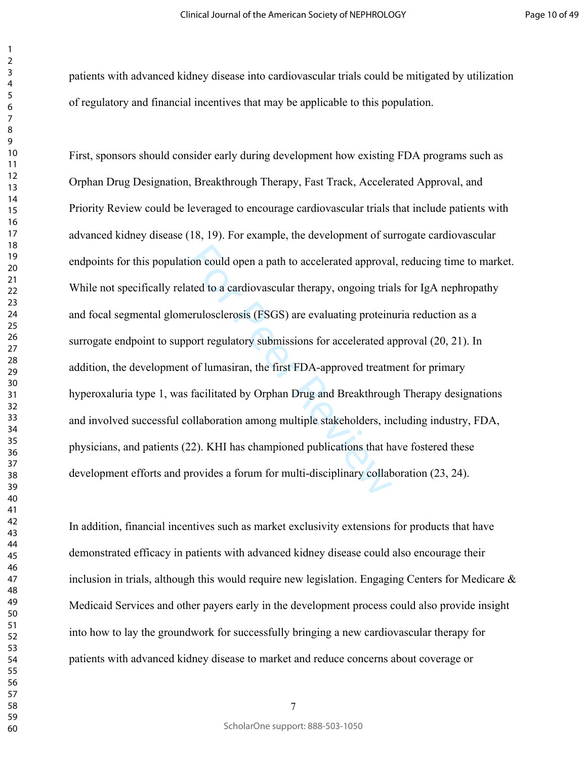Page 10 of 49

patients with advanced kidney disease into cardiovascular trials could be mitigated by utilization of regulatory and financial incentives that may be applicable to this population.

ion could open a path to accelerated approvainted to a cardiovascular therapy, ongoing tria<br>erulosclerosis (FSGS) are evaluating proteins<br>port regulatory submissions for accelerated as<br>of lumasiran, the first FDA-approved First, sponsors should consider early during development how existing FDA programs such as Orphan Drug Designation, Breakthrough Therapy, Fast Track, Accelerated Approval, and Priority Review could be leveraged to encourage cardiovascular trials that include patients with advanced kidney disease ([18,](#page-27-4) [19\)](#page-28-0). For example, the development of surrogate cardiovascular endpoints for this population could open a path to accelerated approval, reducing time to market. While not specifically related to a cardiovascular therapy, ongoing trials for IgA nephropathy and focal segmental glomerulosclerosis (FSGS) are evaluating proteinuria reduction as a surrogate endpoint to support regulatory submissions for accelerated approval ([20,](#page-28-1) [21\)](#page-28-2). In addition, the development of lumasiran, the first FDA-approved treatment for primary hyperoxaluria type 1, was facilitated by Orphan Drug and Breakthrough Therapy designations and involved successful collaboration among multiple stakeholders, including industry, FDA, physicians, and patients [\(22](#page-28-3)). KHI has championed publications that have fostered these development efforts and provides a forum for multi-disciplinary collaboration ([23,](#page-28-4) [24\)](#page-28-5).

In addition, financial incentives such as market exclusivity extensions for products that have demonstrated efficacy in patients with advanced kidney disease could also encourage their inclusion in trials, although this would require new legislation. Engaging Centers for Medicare & Medicaid Services and other payers early in the development process could also provide insight into how to lay the groundwork for successfully bringing a new cardiovascular therapy for patients with advanced kidney disease to market and reduce concerns about coverage or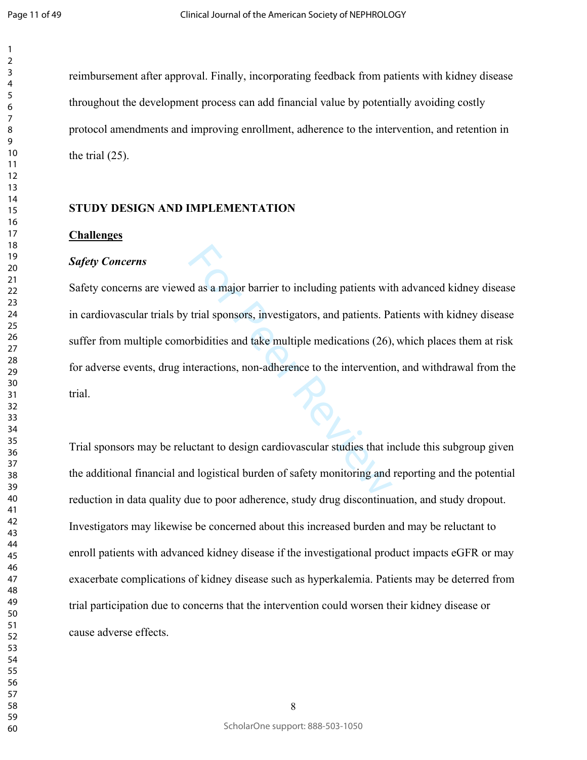reimbursement after approval. Finally, incorporating feedback from patients with kidney disease throughout the development process can add financial value by potentially avoiding costly protocol amendments and improving enrollment, adherence to the intervention, and retention in the trial ([25\)](#page-29-0).

#### **STUDY DESIGN AND IMPLEMENTATION**

#### **Challenges**

#### *Safety Concerns*

Exercise and a major barrier to including patients with<br>trial sponsors, investigators, and patients. Particularly, and the multiple medications (26),<br>there actions, non-adherence to the intervention<br>actant to design cardio Safety concerns are viewed as a major barrier to including patients with advanced kidney disease in cardiovascular trials by trial sponsors, investigators, and patients. Patients with kidney disease suffer from multiple comorbidities and take multiple medications (26), which places them at risk for adverse events, drug interactions, non-adherence to the intervention, and withdrawal from the trial.

Trial sponsors may be reluctant to design cardiovascular studies that include this subgroup given the additional financial and logistical burden of safety monitoring and reporting and the potential reduction in data quality due to poor adherence, study drug discontinuation, and study dropout. Investigators may likewise be concerned about this increased burden and may be reluctant to enroll patients with advanced kidney disease if the investigational product impacts eGFR or may exacerbate complications of kidney disease such as hyperkalemia. Patients may be deterred from trial participation due to concerns that the intervention could worsen their kidney disease or cause adverse effects.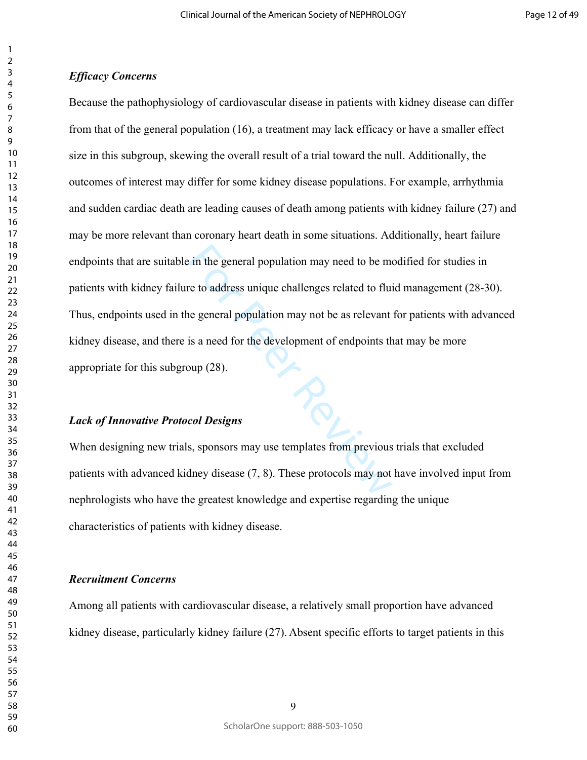#### *Efficacy Concerns*

For the general population may need to be means to address unique challenges related to fluid<br>the general population may not be as relevant<br>is a need for the development of endpoints the<br>pup (28).<br>**Col Designs**<br>s, sponsors Because the pathophysiology of cardiovascular disease in patients with kidney disease can differ from that of the general population ([16\)](#page-27-2), a treatment may lack efficacy or have a smaller effect size in this subgroup, skewing the overall result of a trial toward the null. Additionally, the outcomes of interest may differ for some kidney disease populations. For example, arrhythmia and sudden cardiac death are leading causes of death among patients with kidney failure [\(27](#page-29-2)) and may be more relevant than coronary heart death in some situations. Additionally, heart failure endpoints that are suitable in the general population may need to be modified for studies in patients with kidney failure to address unique challenges related to fluid management [\(28-30](#page-29-3)). Thus, endpoints used in the general population may not be as relevant for patients with advanced kidney disease, and there is a need for the development of endpoints that may be more appropriate for this subgroup (28).

#### *Lack of Innovative Protocol Designs*

When designing new trials, sponsors may use templates from previous trials that excluded patients with advanced kidney disease (7, 8). These protocols may not have involved input from nephrologists who have the greatest knowledge and expertise regarding the unique characteristics of patients with kidney disease.

#### *Recruitment Concerns*

Among all patients with cardiovascular disease, a relatively small proportion have advanced kidney disease, particularly kidney failure ([27\)](#page-29-2). Absent specific efforts to target patients in this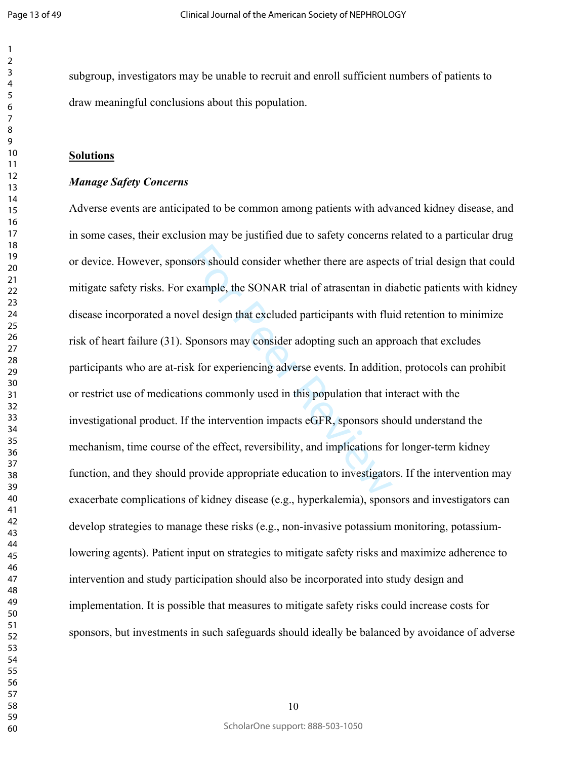$\mathbf{1}$ 

subgroup, investigators may be unable to recruit and enroll sufficient numbers of patients to draw meaningful conclusions about this population.

#### **Solutions**

#### *Manage Safety Concerns*

sors should consider whether there are aspect<br>example, the SONAR trial of atrasentan in di<br>vel design that excluded participants with flu<br>Sponsors may consider adopting such an app<br>k for experiencing adverse events. In add Adverse events are anticipated to be common among patients with advanced kidney disease, and in some cases, their exclusion may be justified due to safety concerns related to a particular drug or device. However, sponsors should consider whether there are aspects of trial design that could mitigate safety risks. For example, the SONAR trial of atrasentan in diabetic patients with kidney disease incorporated a novel design that excluded participants with fluid retention to minimize risk of heart failure [\(31](#page-30-0)). Sponsors may consider adopting such an approach that excludes participants who are at-risk for experiencing adverse events. In addition, protocols can prohibit or restrict use of medications commonly used in this population that interact with the investigational product. If the intervention impacts eGFR, sponsors should understand the mechanism, time course of the effect, reversibility, and implications for longer-term kidney function, and they should provide appropriate education to investigators. If the intervention may exacerbate complications of kidney disease (e.g., hyperkalemia), sponsors and investigators can develop strategies to manage these risks (e.g., non-invasive potassium monitoring, potassiumlowering agents). Patient input on strategies to mitigate safety risks and maximize adherence to intervention and study participation should also be incorporated into study design and implementation. It is possible that measures to mitigate safety risks could increase costs for sponsors, but investments in such safeguards should ideally be balanced by avoidance of adverse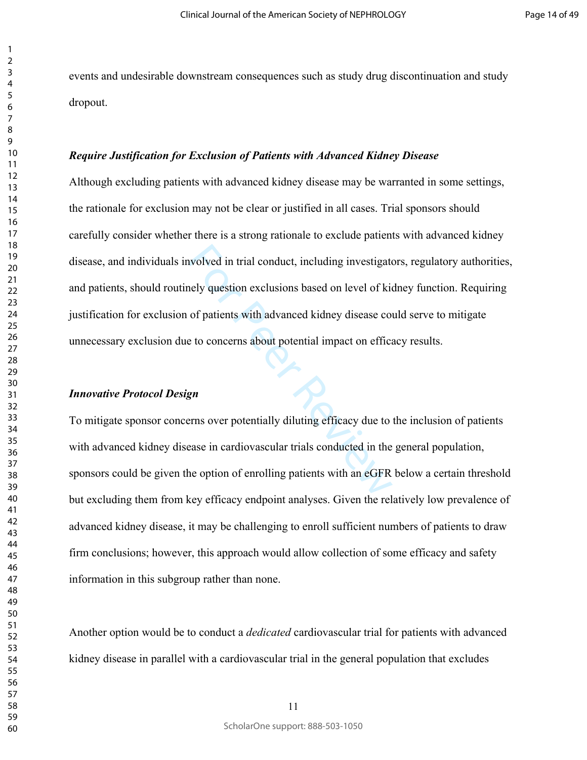Page 14 of 49

events and undesirable downstream consequences such as study drug discontinuation and study dropout.

#### *Require Justification for Exclusion of Patients with Advanced Kidney Disease*

associated in trial conduct, including investigate<br>
nely question exclusions based on level of kio<br>
of patients with advanced kidney disease cover<br>
to concerns about potential impact on effication<br>
or the concerns over pot Although excluding patients with advanced kidney disease may be warranted in some settings, the rationale for exclusion may not be clear or justified in all cases. Trial sponsors should carefully consider whether there is a strong rationale to exclude patients with advanced kidney disease, and individuals involved in trial conduct, including investigators, regulatory authorities, and patients, should routinely question exclusions based on level of kidney function. Requiring justification for exclusion of patients with advanced kidney disease could serve to mitigate unnecessary exclusion due to concerns about potential impact on efficacy results.

#### *Innovative Protocol Design*

To mitigate sponsor concerns over potentially diluting efficacy due to the inclusion of patients with advanced kidney disease in cardiovascular trials conducted in the general population, sponsors could be given the option of enrolling patients with an eGFR below a certain threshold but excluding them from key efficacy endpoint analyses. Given the relatively low prevalence of advanced kidney disease, it may be challenging to enroll sufficient numbers of patients to draw firm conclusions; however, this approach would allow collection of some efficacy and safety information in this subgroup rather than none.

Another option would be to conduct a *dedicated* cardiovascular trial for patients with advanced kidney disease in parallel with a cardiovascular trial in the general population that excludes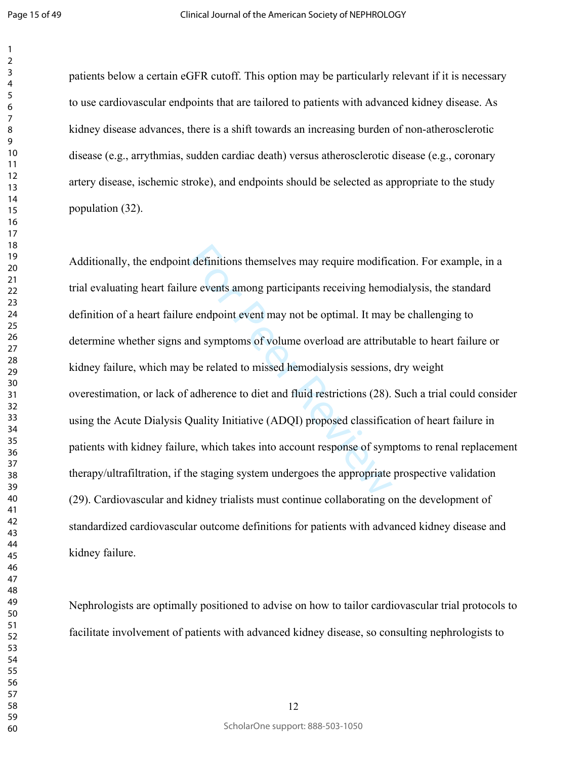$\mathbf{1}$ 

patients below a certain eGFR cutoff. This option may be particularly relevant if it is necessary to use cardiovascular endpoints that are tailored to patients with advanced kidney disease. As kidney disease advances, there is a shift towards an increasing burden of non-atherosclerotic disease (e.g., arrythmias, sudden cardiac death) versus atherosclerotic disease (e.g., coronary artery disease, ischemic stroke), and endpoints should be selected as appropriate to the study population [\(32](#page-30-1)).

t definitions themselves may require modific<br>re events among participants receiving hemo<br>e endpoint event may not be optimal. It may<br>nd symptoms of volume overload are attribu<br>v be related to missed hemodialysis sessions,<br> Additionally, the endpoint definitions themselves may require modification. For example, in a trial evaluating heart failure events among participants receiving hemodialysis, the standard definition of a heart failure endpoint event may not be optimal. It may be challenging to determine whether signs and symptoms of volume overload are attributable to heart failure or kidney failure, which may be related to missed hemodialysis sessions, dry weight overestimation, or lack of adherence to diet and fluid restrictions (28). Such a trial could consider using the Acute Dialysis Quality Initiative (ADQI) proposed classification of heart failure in patients with kidney failure, which takes into account response of symptoms to renal replacement therapy/ultrafiltration, if the staging system undergoes the appropriate prospective validation ([29\)](#page-29-4). Cardiovascular and kidney trialists must continue collaborating on the development of standardized cardiovascular outcome definitions for patients with advanced kidney disease and kidney failure.

Nephrologists are optimally positioned to advise on how to tailor cardiovascular trial protocols to facilitate involvement of patients with advanced kidney disease, so consulting nephrologists to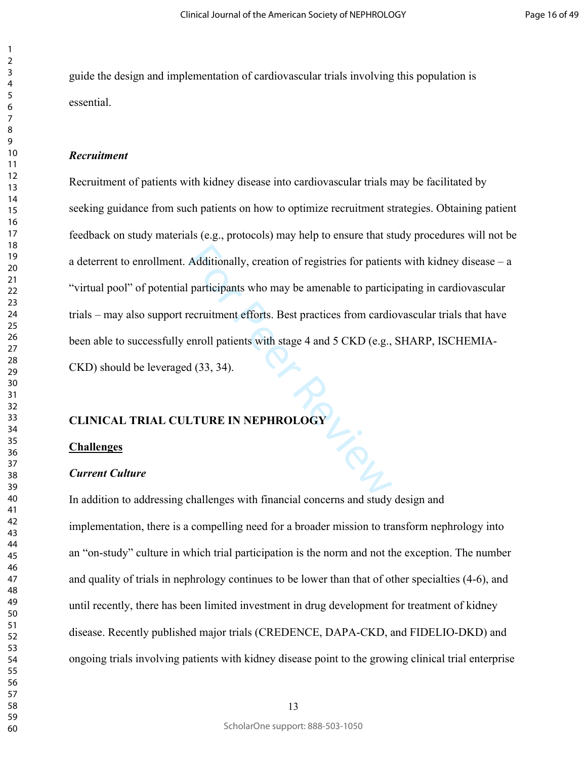guide the design and implementation of cardiovascular trials involving this population is essential.

#### *Recruitment*

Additionally, creation of registries for patien<br>participants who may be amenable to partici<br>ecruitment efforts. Best practices from cardie<br>enroll patients with stage 4 and 5 CKD (e.g.,<br>d (33, 34). Recruitment of patients with kidney disease into cardiovascular trials may be facilitated by seeking guidance from such patients on how to optimize recruitment strategies. Obtaining patient feedback on study materials (e.g., protocols) may help to ensure that study procedures will not be a deterrent to enrollment. Additionally, creation of registries for patients with kidney disease – a "virtual pool" of potential participants who may be amenable to participating in cardiovascular trials – may also support recruitment efforts. Best practices from cardiovascular trials that have been able to successfully enroll patients with stage 4 and 5 CKD (e.g., SHARP, ISCHEMIA-CKD) should be leveraged (33, 34).

#### **CLINICAL TRIAL CULTURE IN NEPHROLOGY**

#### **Challenges**

#### *Current Culture*

In addition to addressing challenges with financial concerns and study design and implementation, there is a compelling need for a broader mission to transform nephrology into an "on-study" culture in which trial participation is the norm and not the exception. The number and quality of trials in nephrology continues to be lower than that of other specialties ([4-6\)](#page-25-2), and until recently, there has been limited investment in drug development for treatment of kidney disease. Recently published major trials (CREDENCE, DAPA-CKD, and FIDELIO-DKD) and ongoing trials involving patients with kidney disease point to the growing clinical trial enterprise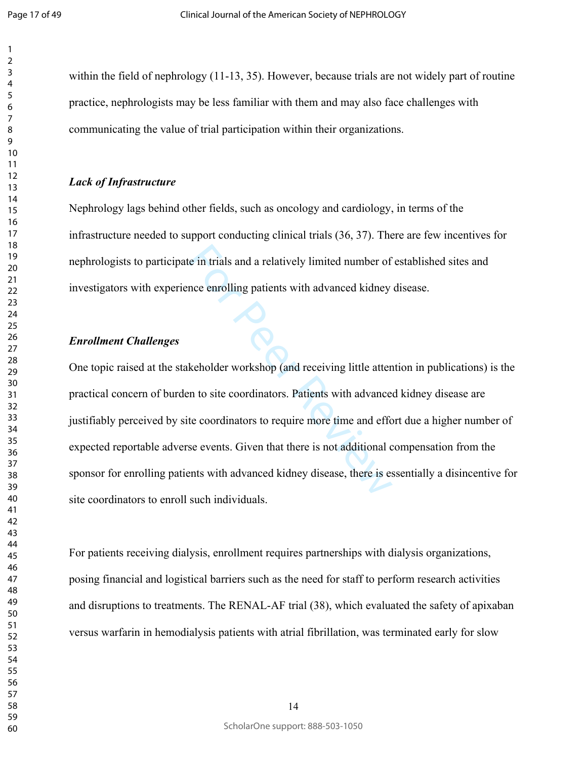$\mathbf{1}$ 

within the field of nephrology ([11-13,](#page-26-4) [35\)](#page-31-0). However, because trials are not widely part of routine practice, nephrologists may be less familiar with them and may also face challenges with communicating the value of trial participation within their organizations.

#### *Lack of Infrastructure*

Nephrology lags behind other fields, such as oncology and cardiology, in terms of the infrastructure needed to support conducting clinical trials ([36,](#page-31-1) [37\)](#page-31-2). There are few incentives for nephrologists to participate in trials and a relatively limited number of established sites and investigators with experience enrolling patients with advanced kidney disease.

#### *Enrollment Challenges*

For the internal and a relatively limited number of<br>the enrolling patients with advanced kidney<br>keholder workshop (and receiving little attention<br>of the entire workshop (and receiving little attention<br>of the entire of the One topic raised at the stakeholder workshop (and receiving little attention in publications) is the practical concern of burden to site coordinators. Patients with advanced kidney disease are justifiably perceived by site coordinators to require more time and effort due a higher number of expected reportable adverse events. Given that there is not additional compensation from the sponsor for enrolling patients with advanced kidney disease, there is essentially a disincentive for site coordinators to enroll such individuals.

For patients receiving dialysis, enrollment requires partnerships with dialysis organizations, posing financial and logistical barriers such as the need for staff to perform research activities and disruptions to treatments. The RENAL-AF trial [\(38](#page-31-3)), which evaluated the safety of apixaban versus warfarin in hemodialysis patients with atrial fibrillation, was terminated early for slow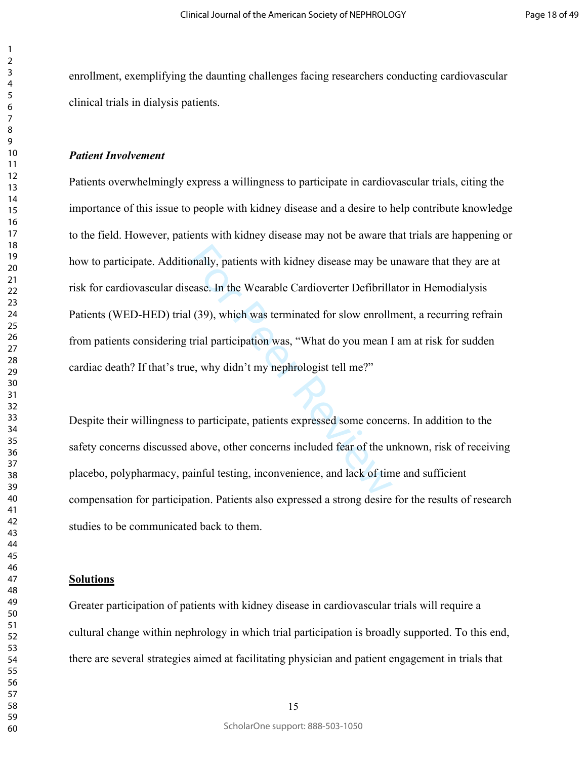enrollment, exemplifying the daunting challenges facing researchers conducting cardiovascular clinical trials in dialysis patients.

#### *Patient Involvement*

onally, patients with kidney disease may be use ase. In the Wearable Cardioverter Defibrilla<br>1 (39), which was terminated for slow enrollr<br>trial participation was, "What do you mean I<br>ne, why didn't my nephrologist tell me Patients overwhelmingly express a willingness to participate in cardiovascular trials, citing the importance of this issue to people with kidney disease and a desire to help contribute knowledge to the field. However, patients with kidney disease may not be aware that trials are happening or how to participate. Additionally, patients with kidney disease may be unaware that they are at risk for cardiovascular disease. In the Wearable Cardioverter Defibrillator in Hemodialysis Patients (WED-HED) trial (39), which was terminated for slow enrollment, a recurring refrain from patients considering trial participation was, "What do you mean I am at risk for sudden cardiac death? If that's true, why didn't my nephrologist tell me?"

Despite their willingness to participate, patients expressed some concerns. In addition to the safety concerns discussed above, other concerns included fear of the unknown, risk of receiving placebo, polypharmacy, painful testing, inconvenience, and lack of time and sufficient compensation for participation. Patients also expressed a strong desire for the results of research studies to be communicated back to them.

#### **Solutions**

Greater participation of patients with kidney disease in cardiovascular trials will require a cultural change within nephrology in which trial participation is broadly supported. To this end, there are several strategies aimed at facilitating physician and patient engagement in trials that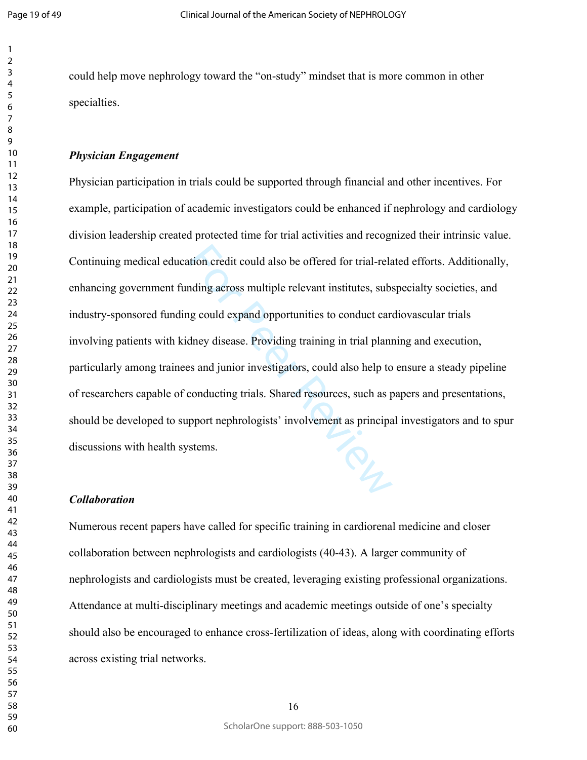$\mathbf{1}$  $\overline{2}$ 

could help move nephrology toward the "on-study" mindset that is more common in other specialties.

#### *Physician Engagement*

tion credit could also be offered for trial-rela<br>nding across multiple relevant institutes, subs<br>ng could expand opportunities to conduct care<br>dney disease. Providing training in trial plant<br>ss and junior investigators, co Physician participation in trials could be supported through financial and other incentives. For example, participation of academic investigators could be enhanced if nephrology and cardiology division leadership created protected time for trial activities and recognized their intrinsic value. Continuing medical education credit could also be offered for trial-related efforts. Additionally, enhancing government funding across multiple relevant institutes, subspecialty societies, and industry-sponsored funding could expand opportunities to conduct cardiovascular trials involving patients with kidney disease. Providing training in trial planning and execution, particularly among trainees and junior investigators, could also help to ensure a steady pipeline of researchers capable of conducting trials. Shared resources, such as papers and presentations, should be developed to support nephrologists' involvement as principal investigators and to spur discussions with health systems.

#### *Collaboration*

Numerous recent papers have called for specific training in cardiorenal medicine and closer collaboration between nephrologists and cardiologists ([40-43\)](#page-31-5). A larger community of nephrologists and cardiologists must be created, leveraging existing professional organizations. Attendance at multi-disciplinary meetings and academic meetings outside of one's specialty should also be encouraged to enhance cross-fertilization of ideas, along with coordinating efforts across existing trial networks.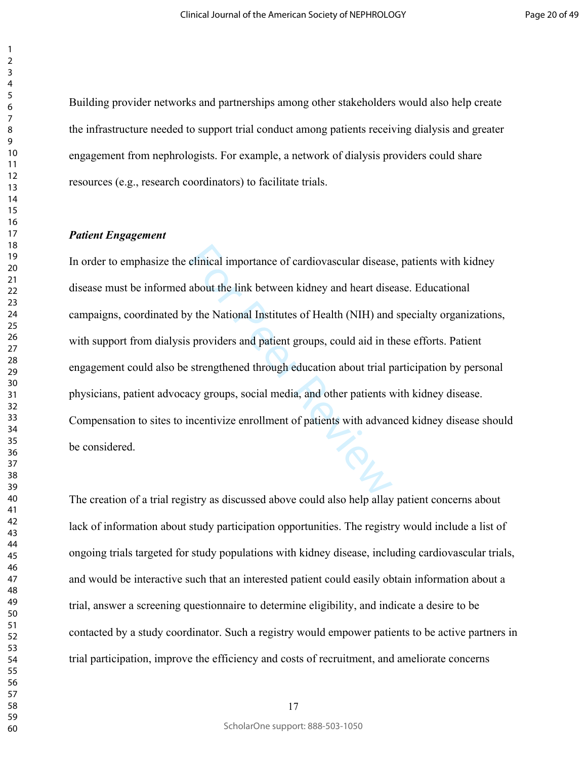Building provider networks and partnerships among other stakeholders would also help create the infrastructure needed to support trial conduct among patients receiving dialysis and greater engagement from nephrologists. For example, a network of dialysis providers could share resources (e.g., research coordinators) to facilitate trials.

#### *Patient Engagement*

elinical importance of cardiovascular disease<br>about the link between kidney and heart dise<br>y the National Institutes of Health (NIH) and<br>s providers and patient groups, could aid in th<br>strengthened through education about In order to emphasize the clinical importance of cardiovascular disease, patients with kidney disease must be informed about the link between kidney and heart disease. Educational campaigns, coordinated by the National Institutes of Health (NIH) and specialty organizations, with support from dialysis providers and patient groups, could aid in these efforts. Patient engagement could also be strengthened through education about trial participation by personal physicians, patient advocacy groups, social media, and other patients with kidney disease. Compensation to sites to incentivize enrollment of patients with advanced kidney disease should be considered.

The creation of a trial registry as discussed above could also help allay patient concerns about lack of information about study participation opportunities. The registry would include a list of ongoing trials targeted for study populations with kidney disease, including cardiovascular trials, and would be interactive such that an interested patient could easily obtain information about a trial, answer a screening questionnaire to determine eligibility, and indicate a desire to be contacted by a study coordinator. Such a registry would empower patients to be active partners in trial participation, improve the efficiency and costs of recruitment, and ameliorate concerns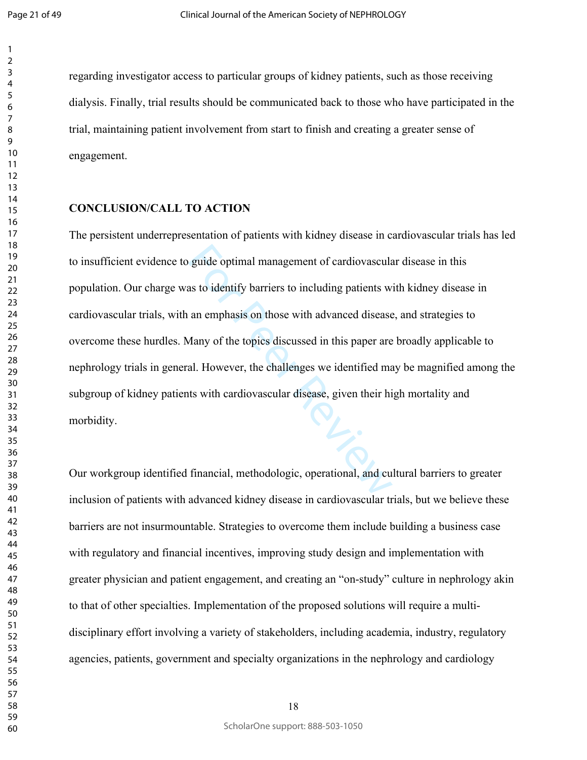$\mathbf{1}$ 

 

regarding investigator access to particular groups of kidney patients, such as those receiving dialysis. Finally, trial results should be communicated back to those who have participated in the trial, maintaining patient involvement from start to finish and creating a greater sense of engagement.

#### **CONCLUSION/CALL TO ACTION**

guide optimal management of cardiovascular<br>as to identify barriers to including patients w<br>an emphasis on those with advanced disease<br>*Aany* of the topics discussed in this paper are<br>al. However, the challenges we identifi The persistent underrepresentation of patients with kidney disease in cardiovascular trials has led to insufficient evidence to guide optimal management of cardiovascular disease in this population. Our charge was to identify barriers to including patients with kidney disease in cardiovascular trials, with an emphasis on those with advanced disease, and strategies to overcome these hurdles. Many of the topics discussed in this paper are broadly applicable to nephrology trials in general. However, the challenges we identified may be magnified among the subgroup of kidney patients with cardiovascular disease, given their high mortality and morbidity.

Our workgroup identified financial, methodologic, operational, and cultural barriers to greater inclusion of patients with advanced kidney disease in cardiovascular trials, but we believe these barriers are not insurmountable. Strategies to overcome them include building a business case with regulatory and financial incentives, improving study design and implementation with greater physician and patient engagement, and creating an "on-study" culture in nephrology akin to that of other specialties. Implementation of the proposed solutions will require a multidisciplinary effort involving a variety of stakeholders, including academia, industry, regulatory agencies, patients, government and specialty organizations in the nephrology and cardiology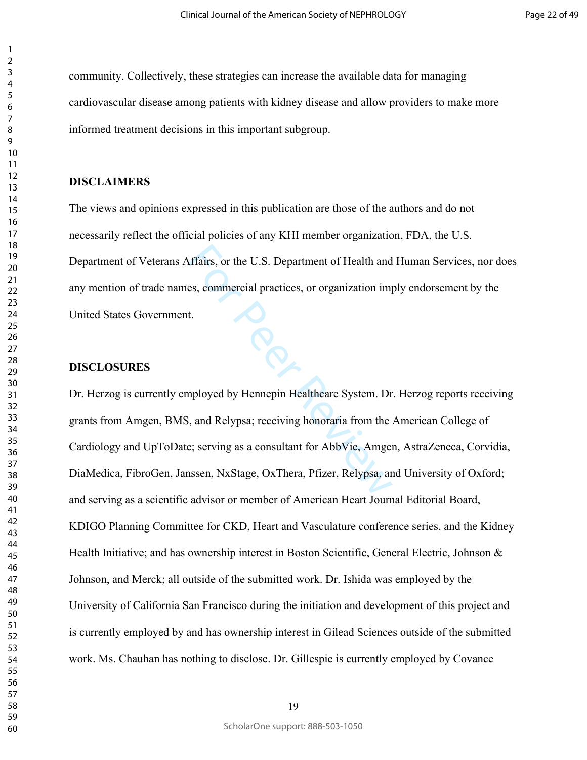community. Collectively, these strategies can increase the available data for managing cardiovascular disease among patients with kidney disease and allow providers to make more informed treatment decisions in this important subgroup.

#### **DISCLAIMERS**

The views and opinions expressed in this publication are those of the authors and do not necessarily reflect the official policies of any KHI member organization, FDA, the U.S. Department of Veterans Affairs, or the U.S. Department of Health and Human Services, nor does any mention of trade names, commercial practices, or organization imply endorsement by the United States Government.

#### **DISCLOSURES**

Fairs, or the U.S. Department of Health and<br>es, commercial practices, or organization imp<br>t.<br>Mesoportion is a consultant for System. Dr<br>and Relypsa; receiving honoraria from the .<br>Exercise as a consultant for AbbVie, Amger Dr. Herzog is currently employed by Hennepin Healthcare System. Dr. Herzog reports receiving grants from Amgen, BMS, and Relypsa; receiving honoraria from the American College of Cardiology and UpToDate; serving as a consultant for AbbVie, Amgen, AstraZeneca, Corvidia, DiaMedica, FibroGen, Janssen, NxStage, OxThera, Pfizer, Relypsa, and University of Oxford; and serving as a scientific advisor or member of American Heart Journal Editorial Board, KDIGO Planning Committee for CKD, Heart and Vasculature conference series, and the Kidney Health Initiative; and has ownership interest in Boston Scientific, General Electric, Johnson & Johnson, and Merck; all outside of the submitted work. Dr. Ishida was employed by the University of California San Francisco during the initiation and development of this project and is currently employed by and has ownership interest in Gilead Sciences outside of the submitted work. Ms. Chauhan has nothing to disclose. Dr. Gillespie is currently employed by Covance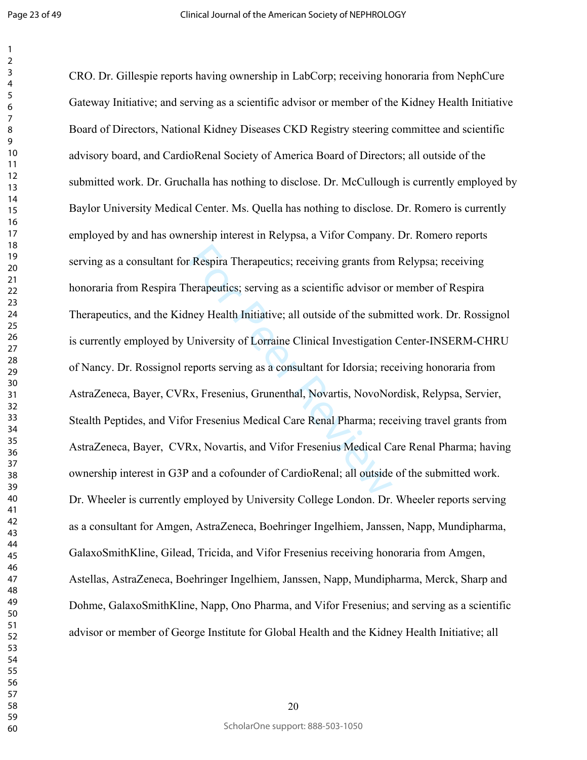$\mathbf{1}$ 

Respira Therapeutics; receiving grants from<br>herapeutics; serving as a scientific advisor or<br>ney Health Initiative; all outside of the subm<br>University of Lorraine Clinical Investigation<br>eports serving as a consultant for Id CRO. Dr. Gillespie reports having ownership in LabCorp; receiving honoraria from NephCure Gateway Initiative; and serving as a scientific advisor or member of the Kidney Health Initiative Board of Directors, National Kidney Diseases CKD Registry steering committee and scientific advisory board, and CardioRenal Society of America Board of Directors; all outside of the submitted work. Dr. Gruchalla has nothing to disclose. Dr. McCullough is currently employed by Baylor University Medical Center. Ms. Quella has nothing to disclose. Dr. Romero is currently employed by and has ownership interest in Relypsa, a Vifor Company. Dr. Romero reports serving as a consultant for Respira Therapeutics; receiving grants from Relypsa; receiving honoraria from Respira Therapeutics; serving as a scientific advisor or member of Respira Therapeutics, and the Kidney Health Initiative; all outside of the submitted work. Dr. Rossignol is currently employed by University of Lorraine Clinical Investigation Center-INSERM-CHRU of Nancy. Dr. Rossignol reports serving as a consultant for Idorsia; receiving honoraria from AstraZeneca, Bayer, CVRx, Fresenius, Grunenthal, Novartis, NovoNordisk, Relypsa, Servier, Stealth Peptides, and Vifor Fresenius Medical Care Renal Pharma; receiving travel grants from AstraZeneca, Bayer, CVRx, Novartis, and Vifor Fresenius Medical Care Renal Pharma; having ownership interest in G3P and a cofounder of CardioRenal; all outside of the submitted work. Dr. Wheeler is currently employed by University College London. Dr. Wheeler reports serving as a consultant for Amgen, AstraZeneca, Boehringer Ingelhiem, Janssen, Napp, Mundipharma, GalaxoSmithKline, Gilead, Tricida, and Vifor Fresenius receiving honoraria from Amgen, Astellas, AstraZeneca, Boehringer Ingelhiem, Janssen, Napp, Mundipharma, Merck, Sharp and Dohme, GalaxoSmithKline, Napp, Ono Pharma, and Vifor Fresenius; and serving as a scientific advisor or member of George Institute for Global Health and the Kidney Health Initiative; all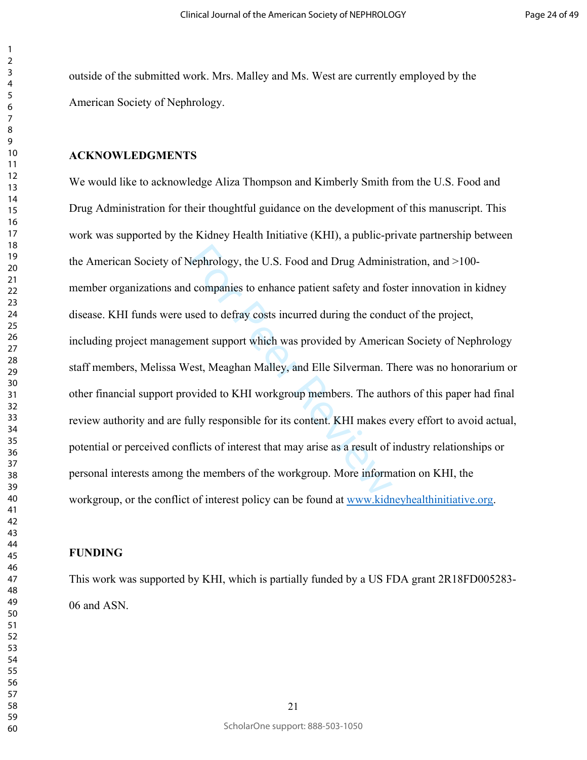outside of the submitted work. Mrs. Malley and Ms. West are currently employed by the American Society of Nephrology.

### **ACKNOWLEDGMENTS**

Nephrology, the U.S. Food and Drug Administic<br>departs to enhance patient safety and for<br>a companies to enhance patient safety and for<br>a seed to defray costs incurred during the condition<br>free to definity, and Elle Silverma We would like to acknowledge Aliza Thompson and Kimberly Smith from the U.S. Food and Drug Administration for their thoughtful guidance on the development of this manuscript. This work was supported by the Kidney Health Initiative (KHI), a public-private partnership between the American Society of Nephrology, the U.S. Food and Drug Administration, and >100 member organizations and companies to enhance patient safety and foster innovation in kidney disease. KHI funds were used to defray costs incurred during the conduct of the project, including project management support which was provided by American Society of Nephrology staff members, Melissa West, Meaghan Malley, and Elle Silverman. There was no honorarium or other financial support provided to KHI workgroup members. The authors of this paper had final review authority and are fully responsible for its content. KHI makes every effort to avoid actual, potential or perceived conflicts of interest that may arise as a result of industry relationships or personal interests among the members of the workgroup. More information on KHI, the workgroup, or the conflict of interest policy can be found at [www.kidneyhealthinitiative.org.](http://www.kidneyhealthinitiative.org)

### **FUNDING**

This work was supported by KHI, which is partially funded by a US FDA grant 2R18FD005283- 06 and ASN.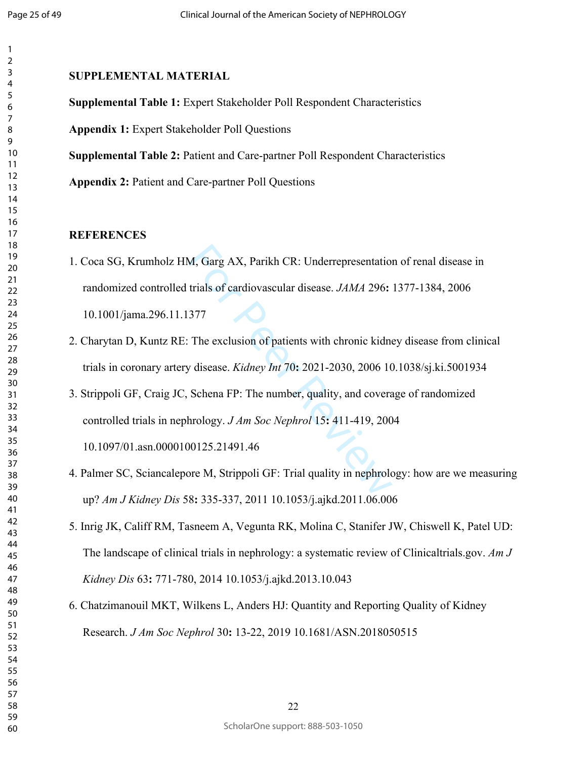### **SUPPLEMENTAL MATERIAL**

**Supplemental Table 1:** Expert Stakeholder Poll Respondent Characteristics

**Appendix 1:** Expert Stakeholder Poll Questions

**Supplemental Table 2:** Patient and Care-partner Poll Respondent Characteristics

**Appendix 2:** Patient and Care-partner Poll Questions

### **REFERENCES**

- <span id="page-25-0"></span>M, Garg AX, Parikh CR: Underrepresentation<br>trials of cardiovascular disease. *JAMA* 296:<br>377<br>The exclusion of patients with chronic kidne<br>t disease. *Kidney Int* 70: 2021-2030, 2006 10<br>Schena FP: The number, quality, and 1. Coca SG, Krumholz HM, Garg AX, Parikh CR: Underrepresentation of renal disease in randomized controlled trials of cardiovascular disease. *JAMA* 296**:** 1377-1384, 2006 10.1001/jama.296.11.1377
- <span id="page-25-1"></span>2. Charytan D, Kuntz RE: The exclusion of patients with chronic kidney disease from clinical trials in coronary artery disease. *Kidney Int* 70**:** 2021-2030, 2006 10.1038/sj.ki.5001934
- 3. Strippoli GF, Craig JC, Schena FP: The number, quality, and coverage of randomized controlled trials in nephrology. *J Am Soc Nephrol* 15**:** 411-419, 2004

10.1097/01.asn.0000100125.21491.46

- <span id="page-25-2"></span>4. Palmer SC, Sciancalepore M, Strippoli GF: Trial quality in nephrology: how are we measuring up? *Am J Kidney Dis* 58**:** 335-337, 2011 10.1053/j.ajkd.2011.06.006
- 5. Inrig JK, Califf RM, Tasneem A, Vegunta RK, Molina C, Stanifer JW, Chiswell K, Patel UD: The landscape of clinical trials in nephrology: a systematic review of Clinicaltrials.gov. *Am J Kidney Dis* 63**:** 771-780, 2014 10.1053/j.ajkd.2013.10.043
- 6. Chatzimanouil MKT, Wilkens L, Anders HJ: Quantity and Reporting Quality of Kidney Research. *J Am Soc Nephrol* 30**:** 13-22, 2019 10.1681/ASN.2018050515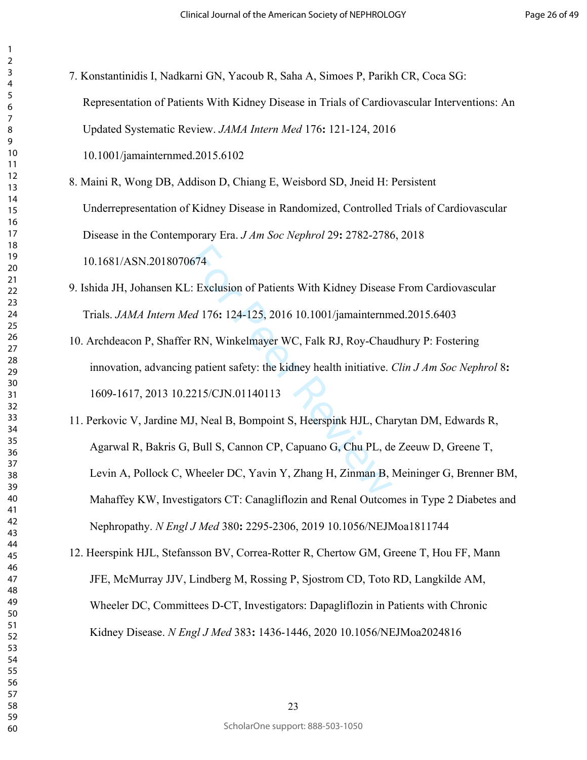| 3                            |
|------------------------------|
| 4                            |
| 5                            |
| 6                            |
|                              |
| 8                            |
|                              |
| 9                            |
| 10                           |
| 11                           |
| $\mathbf{1}$<br>フ            |
| 13                           |
| $\overline{14}$              |
| 15                           |
| 16                           |
|                              |
| 17                           |
| 18                           |
| 19                           |
| 20                           |
| $\overline{21}$              |
| $\overline{22}$              |
| 23                           |
| 24                           |
|                              |
| 25                           |
| 26                           |
| 27                           |
| 28                           |
| 29                           |
| 30                           |
| $\overline{\textbf{3}}$      |
| $\overline{\mathbf{3}}$<br>C |
|                              |
| 33                           |
| 34                           |
| 35                           |
| 36                           |
| 37                           |
| 38                           |
| 39                           |
|                              |
| 40                           |
| 41                           |
| 42                           |
| 43                           |
| 44                           |
| 45                           |
| 46                           |
| 47                           |
| 48                           |
| 49                           |
|                              |
| 50                           |
| 51                           |
| 5.<br>フ                      |
| 53                           |
| 54                           |
| 55                           |
| 56                           |
| 57                           |
|                              |
| 58                           |
| 59                           |

  $\overline{2}$ 

> <span id="page-26-0"></span>7. Konstantinidis I, Nadkarni GN, Yacoub R, Saha A, Simoes P, Parikh CR, Coca SG: Representation of Patients With Kidney Disease in Trials of Cardiovascular Interventions: An Updated Systematic Review. *JAMA Intern Med* 176**:** 121-124, 2016

10.1001/jamainternmed.2015.6102

<span id="page-26-1"></span>8. Maini R, Wong DB, Addison D, Chiang E, Weisbord SD, Jneid H: Persistent Underrepresentation of Kidney Disease in Randomized, Controlled Trials of Cardiovascular Disease in the Contemporary Era. *J Am Soc Nephrol* 29**:** 2782-2786, 2018 10.1681/ASN.2018070674

<span id="page-26-2"></span>9. Ishida JH, Johansen KL: Exclusion of Patients With Kidney Disease From Cardiovascular Trials. *JAMA Intern Med* 176**:** 124-125, 2016 10.1001/jamainternmed.2015.6403

<span id="page-26-4"></span><span id="page-26-3"></span>10. Archdeacon P, Shaffer RN, Winkelmayer WC, Falk RJ, Roy-Chaudhury P: Fostering innovation, advancing patient safety: the kidney health initiative. *Clin J Am Soc Nephrol* 8**:**  1609-1617, 2013 10.2215/CJN.01140113

1674<br>
1. Exclusion of Patients With Kidney Disease<br>
176: 124-125, 2016 10.1001/jamainternm<br>
178. Winkelmayer WC, Falk RJ, Roy-Chau<br>
178. gradient safety: the kidney health initiative.<br>
179. early 179. Composition S, Heersp 11. Perkovic V, Jardine MJ, Neal B, Bompoint S, Heerspink HJL, Charytan DM, Edwards R, Agarwal R, Bakris G, Bull S, Cannon CP, Capuano G, Chu PL, de Zeeuw D, Greene T, Levin A, Pollock C, Wheeler DC, Yavin Y, Zhang H, Zinman B, Meininger G, Brenner BM, Mahaffey KW, Investigators CT: Canagliflozin and Renal Outcomes in Type 2 Diabetes and Nephropathy. *N Engl J Med* 380**:** 2295-2306, 2019 10.1056/NEJMoa1811744

12. Heerspink HJL, Stefansson BV, Correa-Rotter R, Chertow GM, Greene T, Hou FF, Mann JFE, McMurray JJV, Lindberg M, Rossing P, Sjostrom CD, Toto RD, Langkilde AM, Wheeler DC, Committees D-CT, Investigators: Dapagliflozin in Patients with Chronic Kidney Disease. *N Engl J Med* 383**:** 1436-1446, 2020 10.1056/NEJMoa2024816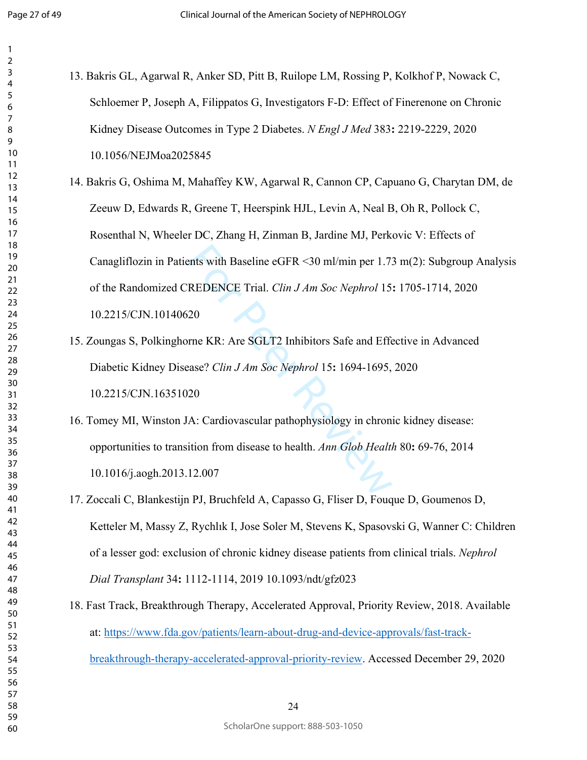$\mathbf{1}$ 

<span id="page-27-4"></span><span id="page-27-3"></span><span id="page-27-2"></span><span id="page-27-1"></span><span id="page-27-0"></span>

| $\mathbf{1}$        |                                                                                              |
|---------------------|----------------------------------------------------------------------------------------------|
| $\overline{a}$<br>3 |                                                                                              |
| 4                   | 13. Bakris GL, Agarwal R, Anker SD, Pitt B, Ruilope LM, Rossing P, Kolkhof P, Nowack C,      |
| 5<br>6              | Schloemer P, Joseph A, Filippatos G, Investigators F-D: Effect of Finerenone on Chronic      |
| 7<br>8<br>9         | Kidney Disease Outcomes in Type 2 Diabetes. N Engl J Med 383: 2219-2229, 2020                |
| 10<br>11            | 10.1056/NEJMoa2025845                                                                        |
| 12<br>13            | 14. Bakris G, Oshima M, Mahaffey KW, Agarwal R, Cannon CP, Capuano G, Charytan DM, de        |
| 14<br>15            | Zeeuw D, Edwards R, Greene T, Heerspink HJL, Levin A, Neal B, Oh R, Pollock C,               |
| 16<br>17<br>18      | Rosenthal N, Wheeler DC, Zhang H, Zinman B, Jardine MJ, Perkovic V: Effects of               |
| 19<br>20            | Canagliflozin in Patients with Baseline eGFR < 30 ml/min per 1.73 m(2): Subgroup Analysis    |
| 21<br>22            | of the Randomized CREDENCE Trial. Clin J Am Soc Nephrol 15: 1705-1714, 2020                  |
| 23<br>24<br>25      | 10.2215/CJN.10140620                                                                         |
| 26<br>27            | 15. Zoungas S, Polkinghorne KR: Are SGLT2 Inhibitors Safe and Effective in Advanced          |
| 28<br>29            | Diabetic Kidney Disease? Clin J Am Soc Nephrol 15: 1694-1695, 2020                           |
| 30<br>31<br>32      | 10.2215/CJN.16351020                                                                         |
| 33<br>34            | 16. Tomey MI, Winston JA: Cardiovascular pathophysiology in chronic kidney disease:          |
| 35<br>36            | opportunities to transition from disease to health. Ann Glob Health 80: 69-76, 2014          |
| 37<br>38<br>39      | 10.1016/j.aogh.2013.12.007                                                                   |
| 40<br>41            | 17. Zoccali C, Blankestijn PJ, Bruchfeld A, Capasso G, Fliser D, Fouque D, Goumenos D,       |
| 42<br>43            | Ketteler M, Massy Z, Rychlık I, Jose Soler M, Stevens K, Spasovski G, Wanner C: Children     |
| 44<br>45<br>46      | of a lesser god: exclusion of chronic kidney disease patients from clinical trials. Nephrol  |
| 47<br>48            | Dial Transplant 34: 1112-1114, 2019 10.1093/ndt/gfz023                                       |
| 49<br>50            | 18. Fast Track, Breakthrough Therapy, Accelerated Approval, Priority Review, 2018. Available |
| 51<br>52<br>53      | at: https://www.fda.gov/patients/learn-about-drug-and-device-approvals/fast-track-           |
| 54<br>55            | breakthrough-therapy-accelerated-approval-priority-review. Accessed December 29, 2020        |
| 56                  |                                                                                              |
| 57                  |                                                                                              |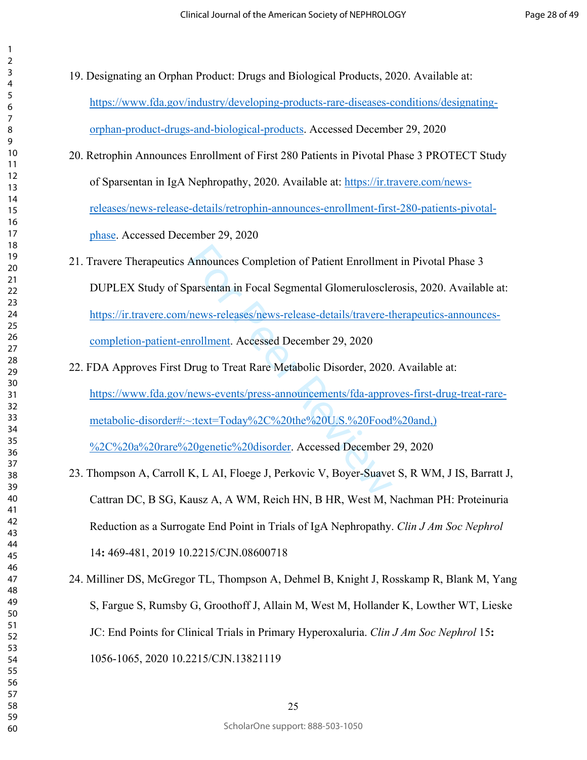<span id="page-28-5"></span><span id="page-28-4"></span><span id="page-28-3"></span>

| 3                   |  |
|---------------------|--|
| 4                   |  |
| 5                   |  |
| 6                   |  |
|                     |  |
| 8                   |  |
| 9                   |  |
| 10                  |  |
| 1<br>1              |  |
| 1<br>$\overline{c}$ |  |
| 3<br>1              |  |
| 1<br>4              |  |
| 5<br>1              |  |
|                     |  |
| 16<br>17            |  |
| 18                  |  |
| 19                  |  |
| 20                  |  |
| $\overline{21}$     |  |
| $\overline{22}$     |  |
| 23                  |  |
|                     |  |
| $^{24}$             |  |
| 25                  |  |
| 26                  |  |
| $^{27}$             |  |
| 28                  |  |
| 29                  |  |
| 30                  |  |
| 31                  |  |
| 32                  |  |
| 33                  |  |
| 34                  |  |
| 35                  |  |
| 36                  |  |
| 37                  |  |
| 38                  |  |
| 39                  |  |
| $\mathbf{A}$<br>í   |  |
| 41                  |  |
| 42                  |  |
| 43                  |  |
| 44                  |  |
| 45                  |  |
| 46                  |  |
| 47                  |  |
| 48                  |  |
| 49                  |  |
| 50                  |  |
| 51                  |  |
| 5.<br>2             |  |
| 53                  |  |
| 54                  |  |
| 55                  |  |
| 56                  |  |
|                     |  |
| 57                  |  |
| 58                  |  |
| 59                  |  |
| 60                  |  |

<span id="page-28-2"></span><span id="page-28-1"></span><span id="page-28-0"></span>

| 19. Designating an Orphan Product: Drugs and Biological Products, 2020. Available at:         |
|-----------------------------------------------------------------------------------------------|
| https://www.fda.gov/industry/developing-products-rare-diseases-conditions/designating-        |
| orphan-product-drugs-and-biological-products. Accessed December 29, 2020                      |
| 20. Retrophin Announces Enrollment of First 280 Patients in Pivotal Phase 3 PROTECT Study     |
| of Sparsentan in IgA Nephropathy, 2020. Available at: https://ir.travere.com/news-            |
| releases/news-release-details/retrophin-announces-enrollment-first-280-patients-pivotal-      |
| phase. Accessed December 29, 2020                                                             |
| 21. Travere Therapeutics Announces Completion of Patient Enrollment in Pivotal Phase 3        |
| DUPLEX Study of Sparsentan in Focal Segmental Glomerulosclerosis, 2020. Available at:         |
| https://ir.travere.com/news-releases/news-release-details/travere-therapeutics-announces-     |
| completion-patient-enrollment. Accessed December 29, 2020                                     |
| 22. FDA Approves First Drug to Treat Rare Metabolic Disorder, 2020. Available at:             |
| https://www.fda.gov/news-events/press-announcements/fda-approves-first-drug-treat-rare-       |
| metabolic-disorder#:~:text=Today%2C%20the%20U.S.%20Food%20and,                                |
| %2C%20a%20rare%20genetic%20disorder. Accessed December 29, 2020                               |
| 23. Thompson A, Carroll K, L AI, Floege J, Perkovic V, Boyer-Suavet S, R WM, J IS, Barratt J, |
| Cattran DC, B SG, Kausz A, A WM, Reich HN, B HR, West M, Nachman PH: Proteinuria              |
| Reduction as a Surrogate End Point in Trials of IgA Nephropathy. Clin J Am Soc Nephrol        |
| 14: 469-481, 2019 10.2215/CJN.08600718                                                        |
| 24. Milliner DS, McGregor TL, Thompson A, Dehmel B, Knight J, Rosskamp R, Blank M, Yang       |
| S, Fargue S, Rumsby G, Groothoff J, Allain M, West M, Hollander K, Lowther WT, Lieske         |
| JC: End Points for Clinical Trials in Primary Hyperoxaluria. Clin J Am Soc Nephrol 15:        |
| 1056-1065, 2020 10.2215/CJN.13821119                                                          |
|                                                                                               |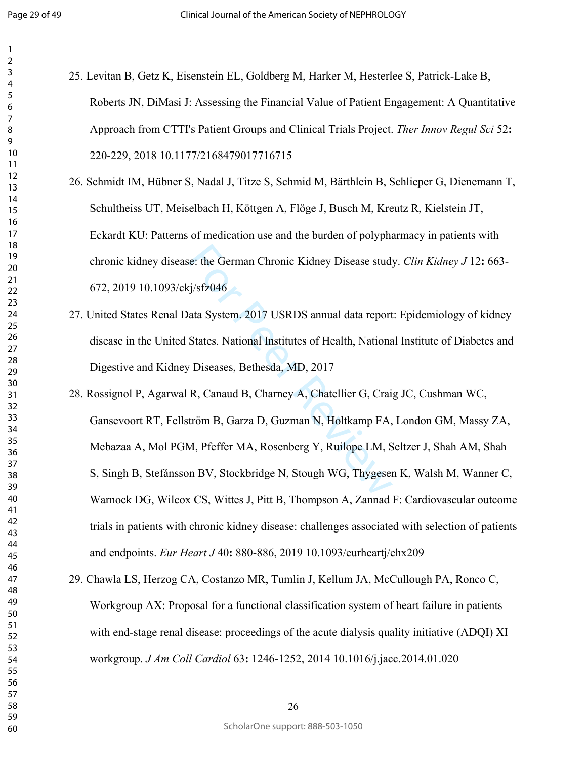Page 29 of 49

<span id="page-29-4"></span><span id="page-29-3"></span><span id="page-29-2"></span><span id="page-29-1"></span><span id="page-29-0"></span>

| 25. Levitan B, Getz K, Eisenstein EL, Goldberg M, Harker M, Hesterlee S, Patrick-Lake B,         |
|--------------------------------------------------------------------------------------------------|
| Roberts JN, DiMasi J: Assessing the Financial Value of Patient Engagement: A Quantitative        |
| Approach from CTTI's Patient Groups and Clinical Trials Project. Ther Innov Regul Sci 52:        |
| 220-229, 2018 10.1177/2168479017716715                                                           |
| 26. Schmidt IM, Hübner S, Nadal J, Titze S, Schmid M, Bärthlein B, Schlieper G, Dienemann T,     |
| Schultheiss UT, Meiselbach H, Köttgen A, Flöge J, Busch M, Kreutz R, Kielstein JT,               |
| Eckardt KU: Patterns of medication use and the burden of polypharmacy in patients with           |
| chronic kidney disease: the German Chronic Kidney Disease study. Clin Kidney J 12: 663-          |
| 672, 2019 10.1093/ckj/sfz046                                                                     |
| 27. United States Renal Data System. 2017 USRDS annual data report: Epidemiology of kidney       |
| disease in the United States. National Institutes of Health, National Institute of Diabetes and  |
| Digestive and Kidney Diseases, Bethesda, MD, 2017                                                |
| 28. Rossignol P, Agarwal R, Canaud B, Charney A, Chatellier G, Craig JC, Cushman WC,             |
| Gansevoort RT, Fellström B, Garza D, Guzman N, Holtkamp FA, London GM, Massy ZA,                 |
| Mebazaa A, Mol PGM, Pfeffer MA, Rosenberg Y, Ruilope LM, Seltzer J, Shah AM, Shah                |
| S, Singh B, Stefánsson BV, Stockbridge N, Stough WG, Thygesen K, Walsh M, Wanner C,              |
| Warnock DG, Wilcox CS, Wittes J, Pitt B, Thompson A, Zannad F: Cardiovascular outcome            |
| trials in patients with chronic kidney disease: challenges associated with selection of patients |
| and endpoints. Eur Heart J 40: 880-886, 2019 10.1093/eurheartj/ehx209                            |
| 29. Chawla LS, Herzog CA, Costanzo MR, Tumlin J, Kellum JA, McCullough PA, Ronco C,              |
| Workgroup AX: Proposal for a functional classification system of heart failure in patients       |
| with end-stage renal disease: proceedings of the acute dialysis quality initiative (ADQI) XI     |
| workgroup. J Am Coll Cardiol 63: 1246-1252, 2014 10.1016/j.jacc.2014.01.020                      |
|                                                                                                  |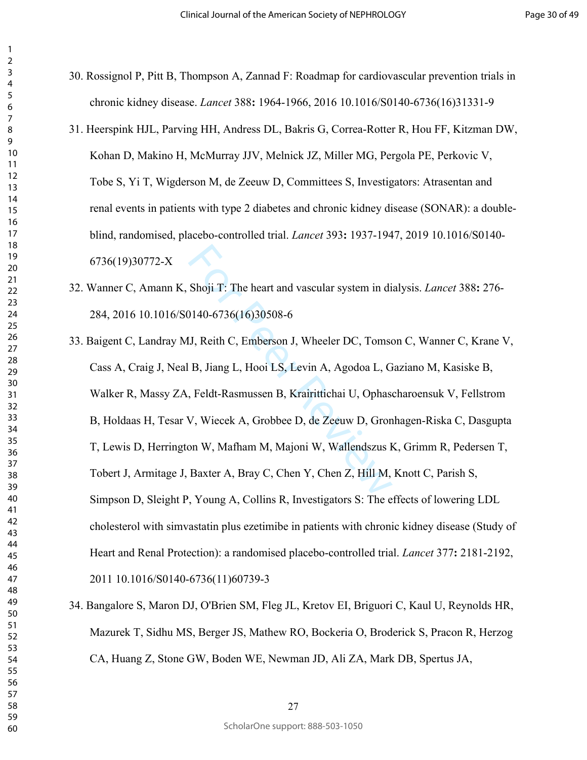- 30. Rossignol P, Pitt B, Thompson A, Zannad F: Roadmap for cardiovascular prevention trials in chronic kidney disease. *Lancet* 388**:** 1964-1966, 2016 10.1016/S0140-6736(16)31331-9
- <span id="page-30-0"></span>31. Heerspink HJL, Parving HH, Andress DL, Bakris G, Correa-Rotter R, Hou FF, Kitzman DW, Kohan D, Makino H, McMurray JJV, Melnick JZ, Miller MG, Pergola PE, Perkovic V, Tobe S, Yi T, Wigderson M, de Zeeuw D, Committees S, Investigators: Atrasentan and renal events in patients with type 2 diabetes and chronic kidney disease (SONAR): a doubleblind, randomised, placebo-controlled trial. *Lancet* 393**:** 1937-1947, 2019 10.1016/S0140- 6736(19)30772-X
- <span id="page-30-2"></span><span id="page-30-1"></span>32. Wanner C, Amann K, Shoji T: The heart and vascular system in dialysis. *Lancet* 388**:** 276- 284, 2016 10.1016/S0140-6736(16)30508-6
- Shoji T: The heart and vascular system in di<br>
1140-6736(16)30508-6<br>
IJ, Reith C, Emberson J, Wheeler DC, Tomse<br>
B, Jiang L, Hooi LS, Levin A, Agodoa L, G<br>
, Feldt-Rasmussen B, Krairittichai U, Ophase<br>
V, Wiecek A, Grobbee 33. Baigent C, Landray MJ, Reith C, Emberson J, Wheeler DC, Tomson C, Wanner C, Krane V, Cass A, Craig J, Neal B, Jiang L, Hooi LS, Levin A, Agodoa L, Gaziano M, Kasiske B, Walker R, Massy ZA, Feldt-Rasmussen B, Krairittichai U, Ophascharoensuk V, Fellstrom B, Holdaas H, Tesar V, Wiecek A, Grobbee D, de Zeeuw D, Gronhagen-Riska C, Dasgupta T, Lewis D, Herrington W, Mafham M, Majoni W, Wallendszus K, Grimm R, Pedersen T, Tobert J, Armitage J, Baxter A, Bray C, Chen Y, Chen Z, Hill M, Knott C, Parish S, Simpson D, Sleight P, Young A, Collins R, Investigators S: The effects of lowering LDL cholesterol with simvastatin plus ezetimibe in patients with chronic kidney disease (Study of Heart and Renal Protection): a randomised placebo-controlled trial. *Lancet* 377**:** 2181-2192, 2011 10.1016/S0140-6736(11)60739-3
- <span id="page-30-3"></span>34. Bangalore S, Maron DJ, O'Brien SM, Fleg JL, Kretov EI, Briguori C, Kaul U, Reynolds HR, Mazurek T, Sidhu MS, Berger JS, Mathew RO, Bockeria O, Broderick S, Pracon R, Herzog CA, Huang Z, Stone GW, Boden WE, Newman JD, Ali ZA, Mark DB, Spertus JA,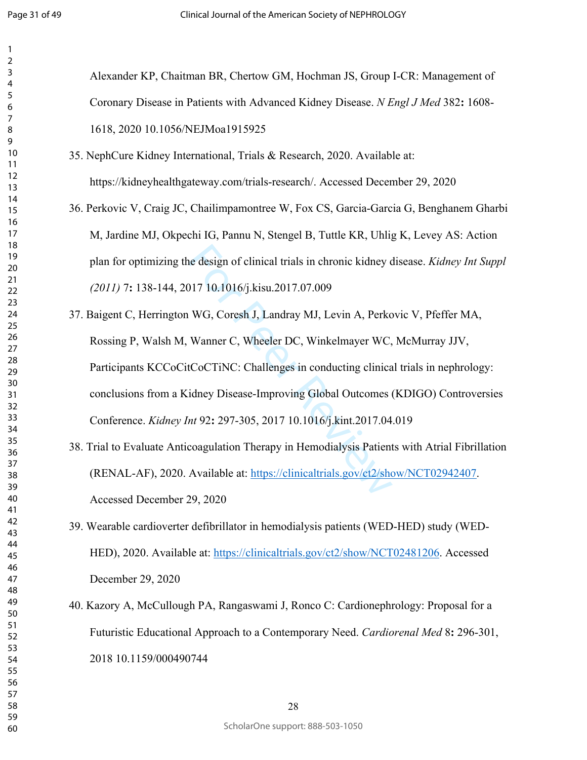$\mathbf{1}$ 

<span id="page-31-5"></span><span id="page-31-4"></span><span id="page-31-3"></span><span id="page-31-2"></span><span id="page-31-1"></span><span id="page-31-0"></span>

| $\mathbf{1}$                  |                                                                                                 |
|-------------------------------|-------------------------------------------------------------------------------------------------|
| $\overline{2}$<br>$\mathsf 3$ |                                                                                                 |
| $\overline{\mathcal{A}}$      | Alexander KP, Chaitman BR, Chertow GM, Hochman JS, Group I-CR: Management of                    |
| $\overline{5}$<br>6           | Coronary Disease in Patients with Advanced Kidney Disease. N Engl J Med 382: 1608-              |
| $\overline{7}$<br>8<br>9      | 1618, 2020 10.1056/NEJMoa1915925                                                                |
| 10<br>11                      | 35. NephCure Kidney International, Trials & Research, 2020. Available at:                       |
| 12<br>13                      | https://kidneyhealthgateway.com/trials-research/. Accessed December 29, 2020                    |
| 14<br>15<br>16                | 36. Perkovic V, Craig JC, Chailimpamontree W, Fox CS, Garcia-Garcia G, Benghanem Gharbi         |
| 17<br>18                      | M, Jardine MJ, Okpechi IG, Pannu N, Stengel B, Tuttle KR, Uhlig K, Levey AS: Action             |
| 19<br>20                      | plan for optimizing the design of clinical trials in chronic kidney disease. Kidney Int Suppl   |
| 21<br>22<br>23                | (2011) 7: 138-144, 2017 10.1016/j.kisu.2017.07.009                                              |
| 24<br>25                      | 37. Baigent C, Herrington WG, Coresh J, Landray MJ, Levin A, Perkovic V, Pfeffer MA,            |
| 26<br>27                      | Rossing P, Walsh M, Wanner C, Wheeler DC, Winkelmayer WC, McMurray JJV,                         |
| 28<br>29<br>30                | Participants KCCoCitCoCTiNC: Challenges in conducting clinical trials in nephrology:            |
| 31<br>32                      | conclusions from a Kidney Disease-Improving Global Outcomes (KDIGO) Controversies               |
| 33<br>34                      | Conference. Kidney Int 92: 297-305, 2017 10.1016/j.kint.2017.04.019                             |
| 35<br>36<br>37                | 38. Trial to Evaluate Anticoagulation Therapy in Hemodialysis Patients with Atrial Fibrillation |
| 38<br>39                      | (RENAL-AF), 2020. Available at: https://clinicaltrials.gov/ct2/show/NCT02942407.                |
| 40<br>41                      | Accessed December 29, 2020                                                                      |
| 42<br>43<br>44                | 39. Wearable cardioverter defibrillator in hemodialysis patients (WED-HED) study (WED-          |
| 45<br>46                      | HED), 2020. Available at: https://clinicaltrials.gov/ct2/show/NCT02481206. Accessed             |
| 47<br>48                      | December 29, 2020                                                                               |
| 49<br>50<br>51                | 40. Kazory A, McCullough PA, Rangaswami J, Ronco C: Cardionephrology: Proposal for a            |
| 52<br>53                      | Futuristic Educational Approach to a Contemporary Need. Cardiorenal Med 8: 296-301,             |
| 54<br>55                      | 2018 10.1159/000490744                                                                          |
| 56<br>57<br>58                | 28                                                                                              |
|                               |                                                                                                 |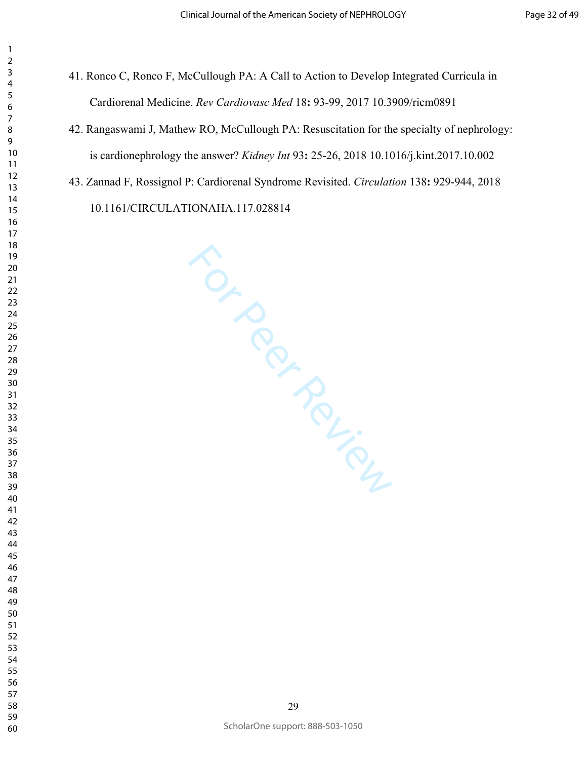- 41. Ronco C, Ronco F, McCullough PA: A Call to Action to Develop Integrated Curricula in Cardiorenal Medicine. *Rev Cardiovasc Med* 18**:** 93-99, 2017 10.3909/ricm0891
- 42. Rangaswami J, Mathew RO, McCullough PA: Resuscitation for the specialty of nephrology: is cardionephrology the answer? *Kidney Int* 93**:** 25-26, 2018 10.1016/j.kint.2017.10.002
- 43. Zannad F, Rossignol P: Cardiorenal Syndrome Revisited. *Circulation* 138**:** 929-944, 2018 10.1161/CIRCULATIONAHA.117.028814

For Perincipal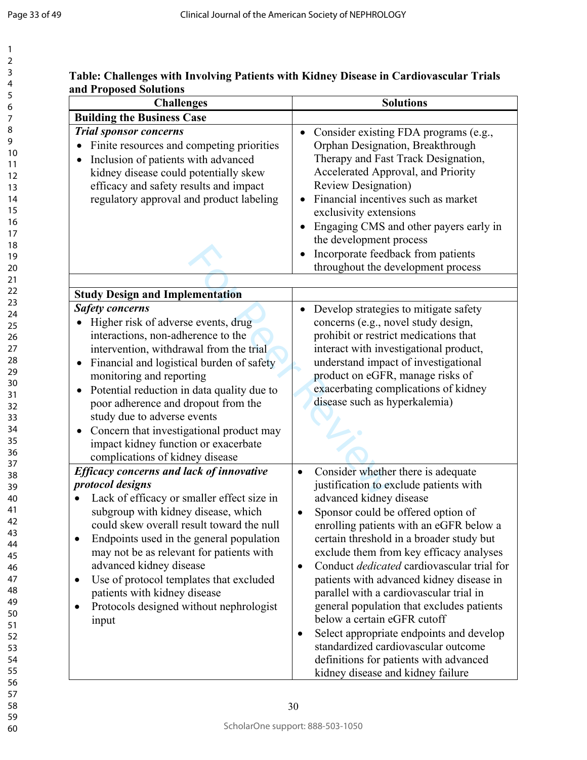$\mathbf{1}$  $\overline{2}$ 

### **Table: Challenges with Involving Patients with Kidney Disease in Cardiovascular Trials and Proposed Solutions**

| <b>Challenges</b>                                                                                                                                                                                                                                                                                                                                                                                                                                                                                         | <b>Solutions</b>                                                                                                                                                                                                                                                                                                                                                                                                                                                                                                                                                                                                                                                                                                 |  |
|-----------------------------------------------------------------------------------------------------------------------------------------------------------------------------------------------------------------------------------------------------------------------------------------------------------------------------------------------------------------------------------------------------------------------------------------------------------------------------------------------------------|------------------------------------------------------------------------------------------------------------------------------------------------------------------------------------------------------------------------------------------------------------------------------------------------------------------------------------------------------------------------------------------------------------------------------------------------------------------------------------------------------------------------------------------------------------------------------------------------------------------------------------------------------------------------------------------------------------------|--|
| <b>Building the Business Case</b>                                                                                                                                                                                                                                                                                                                                                                                                                                                                         |                                                                                                                                                                                                                                                                                                                                                                                                                                                                                                                                                                                                                                                                                                                  |  |
| <b>Trial sponsor concerns</b><br>Finite resources and competing priorities<br>$\bullet$<br>Inclusion of patients with advanced<br>$\bullet$<br>kidney disease could potentially skew<br>efficacy and safety results and impact<br>regulatory approval and product labeling                                                                                                                                                                                                                                | Consider existing FDA programs (e.g.,<br>$\bullet$<br>Orphan Designation, Breakthrough<br>Therapy and Fast Track Designation,<br>Accelerated Approval, and Priority<br><b>Review Designation</b> )<br>Financial incentives such as market<br>exclusivity extensions<br>Engaging CMS and other payers early in<br>the development process<br>Incorporate feedback from patients<br>throughout the development process                                                                                                                                                                                                                                                                                             |  |
| <b>Study Design and Implementation</b>                                                                                                                                                                                                                                                                                                                                                                                                                                                                    |                                                                                                                                                                                                                                                                                                                                                                                                                                                                                                                                                                                                                                                                                                                  |  |
| <b>Safety concerns</b><br>Higher risk of adverse events, drug<br>interactions, non-adherence to the<br>intervention, withdrawal from the trial<br>Financial and logistical burden of safety<br>$\bullet$<br>monitoring and reporting<br>Potential reduction in data quality due to<br>$\bullet$<br>poor adherence and dropout from the<br>study due to adverse events<br>Concern that investigational product may<br>$\bullet$<br>impact kidney function or exacerbate<br>complications of kidney disease | Develop strategies to mitigate safety<br>concerns (e.g., novel study design,<br>prohibit or restrict medications that<br>interact with investigational product,<br>understand impact of investigational<br>product on eGFR, manage risks of<br>exacerbating complications of kidney<br>disease such as hyperkalemia)                                                                                                                                                                                                                                                                                                                                                                                             |  |
| <b>Efficacy concerns and lack of innovative</b><br>protocol designs<br>Lack of efficacy or smaller effect size in<br>subgroup with kidney disease, which<br>could skew overall result toward the null<br>Endpoints used in the general population<br>may not be as relevant for patients with<br>advanced kidney disease<br>Use of protocol templates that excluded<br>$\bullet$<br>patients with kidney disease<br>Protocols designed without nephrologist<br>input                                      | Consider whether there is adequate<br>$\bullet$<br>justification to exclude patients with<br>advanced kidney disease<br>Sponsor could be offered option of<br>enrolling patients with an eGFR below a<br>certain threshold in a broader study but<br>exclude them from key efficacy analyses<br>Conduct <i>dedicated</i> cardiovascular trial for<br>$\bullet$<br>patients with advanced kidney disease in<br>parallel with a cardiovascular trial in<br>general population that excludes patients<br>below a certain eGFR cutoff<br>Select appropriate endpoints and develop<br>$\bullet$<br>standardized cardiovascular outcome<br>definitions for patients with advanced<br>kidney disease and kidney failure |  |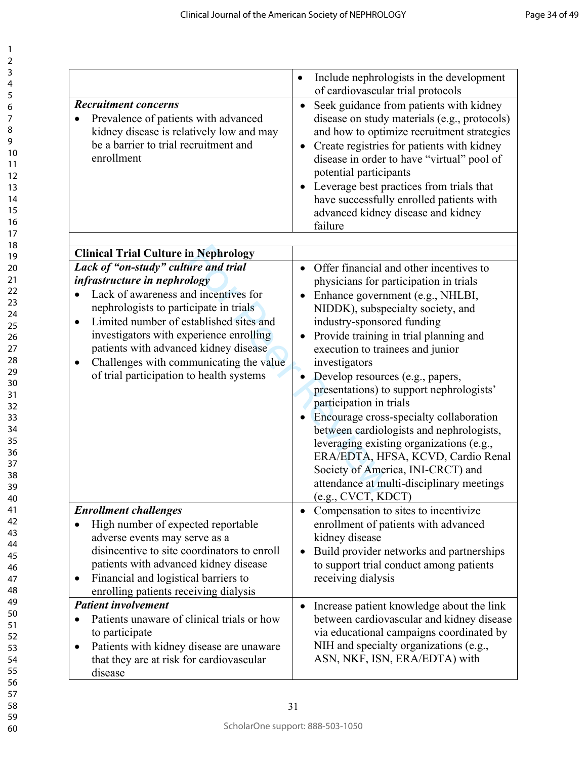| $\overline{ }$                                                        |  |
|-----------------------------------------------------------------------|--|
|                                                                       |  |
|                                                                       |  |
|                                                                       |  |
|                                                                       |  |
|                                                                       |  |
| 345678911111111112222222222333333333456789011234100123456789012345678 |  |
|                                                                       |  |
|                                                                       |  |
|                                                                       |  |
|                                                                       |  |
|                                                                       |  |
|                                                                       |  |
|                                                                       |  |
|                                                                       |  |
|                                                                       |  |
|                                                                       |  |
|                                                                       |  |
|                                                                       |  |
|                                                                       |  |
|                                                                       |  |
|                                                                       |  |
|                                                                       |  |
|                                                                       |  |
|                                                                       |  |
|                                                                       |  |
|                                                                       |  |
|                                                                       |  |
|                                                                       |  |
|                                                                       |  |
|                                                                       |  |
|                                                                       |  |
|                                                                       |  |
|                                                                       |  |
|                                                                       |  |
|                                                                       |  |
|                                                                       |  |
|                                                                       |  |
|                                                                       |  |
|                                                                       |  |
|                                                                       |  |
| 39                                                                    |  |
| 40                                                                    |  |
| 41                                                                    |  |
| 42<br>,                                                               |  |
| 4.<br>ξ                                                               |  |
|                                                                       |  |
| 44                                                                    |  |
| 45                                                                    |  |
| 46                                                                    |  |
| 47                                                                    |  |
| 48                                                                    |  |
| 49                                                                    |  |
| 50                                                                    |  |
| 51                                                                    |  |
| 5.<br>,                                                               |  |
| 5:<br>ξ                                                               |  |
|                                                                       |  |
| 54                                                                    |  |
| 55                                                                    |  |
| 56                                                                    |  |
| 5                                                                     |  |
| 58                                                                    |  |
| 59                                                                    |  |

|                                                                                                                                                                                                                                                                                                                                                                | Include nephrologists in the development<br>$\bullet$<br>of cardiovascular trial protocols                                                                                                                                                                                                                                                                                                                                                                                                                                                                                                                                                   |
|----------------------------------------------------------------------------------------------------------------------------------------------------------------------------------------------------------------------------------------------------------------------------------------------------------------------------------------------------------------|----------------------------------------------------------------------------------------------------------------------------------------------------------------------------------------------------------------------------------------------------------------------------------------------------------------------------------------------------------------------------------------------------------------------------------------------------------------------------------------------------------------------------------------------------------------------------------------------------------------------------------------------|
| <b>Recruitment concerns</b><br>Prevalence of patients with advanced<br>kidney disease is relatively low and may<br>be a barrier to trial recruitment and<br>enrollment                                                                                                                                                                                         | Seek guidance from patients with kidney<br>$\bullet$<br>disease on study materials (e.g., protocols)<br>and how to optimize recruitment strategies<br>Create registries for patients with kidney<br>$\bullet$<br>disease in order to have "virtual" pool of<br>potential participants<br>Leverage best practices from trials that<br>$\bullet$<br>have successfully enrolled patients with<br>advanced kidney disease and kidney<br>failure                                                                                                                                                                                                  |
| <b>Clinical Trial Culture in Nephrology</b>                                                                                                                                                                                                                                                                                                                    |                                                                                                                                                                                                                                                                                                                                                                                                                                                                                                                                                                                                                                              |
| Lack of "on-study" culture and trial                                                                                                                                                                                                                                                                                                                           | Offer financial and other incentives to                                                                                                                                                                                                                                                                                                                                                                                                                                                                                                                                                                                                      |
| infrastructure in nephrology<br>Lack of awareness and incentives for<br>nephrologists to participate in trials<br>Limited number of established sites and<br>$\bullet$<br>investigators with experience enrolling<br>patients with advanced kidney disease<br>Challenges with communicating the value<br>$\bullet$<br>of trial participation to health systems | physicians for participation in trials<br>Enhance government (e.g., NHLBI,<br>$\bullet$<br>NIDDK), subspecialty society, and<br>industry-sponsored funding<br>Provide training in trial planning and<br>$\bullet$<br>execution to trainees and junior<br>investigators<br>Develop resources (e.g., papers,<br>presentations) to support nephrologists'<br>participation in trials<br>Encourage cross-specialty collaboration<br>between cardiologists and nephrologists,<br>leveraging existing organizations (e.g.,<br>ERA/EDTA, HFSA, KCVD, Cardio Renal<br>Society of America, INI-CRCT) and<br>attendance at multi-disciplinary meetings |
| <b>Enrollment challenges</b>                                                                                                                                                                                                                                                                                                                                   | (e.g., CVCT, KDCT)<br>Compensation to sites to incentivize<br>$\bullet$                                                                                                                                                                                                                                                                                                                                                                                                                                                                                                                                                                      |
| High number of expected reportable<br>adverse events may serve as a<br>disincentive to site coordinators to enroll<br>patients with advanced kidney disease<br>Financial and logistical barriers to<br>enrolling patients receiving dialysis                                                                                                                   | enrollment of patients with advanced<br>kidney disease<br>Build provider networks and partnerships<br>$\bullet$<br>to support trial conduct among patients<br>receiving dialysis                                                                                                                                                                                                                                                                                                                                                                                                                                                             |
| <b>Patient involvement</b>                                                                                                                                                                                                                                                                                                                                     | Increase patient knowledge about the link<br>$\bullet$                                                                                                                                                                                                                                                                                                                                                                                                                                                                                                                                                                                       |
| Patients unaware of clinical trials or how<br>to participate<br>Patients with kidney disease are unaware<br>that they are at risk for cardiovascular<br>disease                                                                                                                                                                                                | between cardiovascular and kidney disease<br>via educational campaigns coordinated by<br>NIH and specialty organizations (e.g.,<br>ASN, NKF, ISN, ERA/EDTA) with                                                                                                                                                                                                                                                                                                                                                                                                                                                                             |
|                                                                                                                                                                                                                                                                                                                                                                |                                                                                                                                                                                                                                                                                                                                                                                                                                                                                                                                                                                                                                              |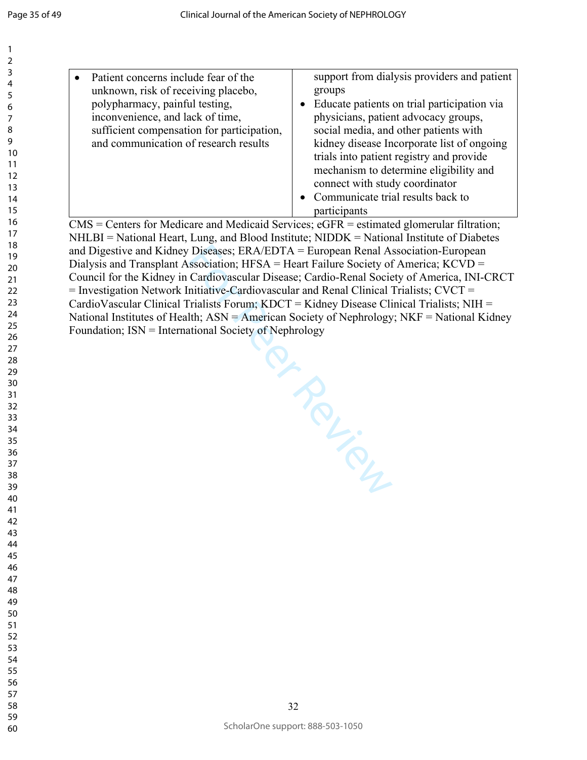From Prince CMS = Centers for Medicare and Medicaid Services; eGFR = estimated glomerular filtration; NHLBI = National Heart, Lung, and Blood Institute; NIDDK = National Institute of Diabetes and Digestive and Kidney Diseases; ERA/EDTA = European Renal Association-European Dialysis and Transplant Association; HFSA = Heart Failure Society of America; KCVD = Council for the Kidney in Cardiovascular Disease; Cardio-Renal Society of America, INI-CRCT  $=$  Investigation Network Initiative-Cardiovascular and Renal Clinical Trialists; CVCT  $=$ CardioVascular Clinical Trialists Forum; KDCT = Kidney Disease Clinical Trialists; NIH = National Institutes of Health; ASN = American Society of Nephrology; NKF = National Kidney Foundation; ISN = International Society of Nephrology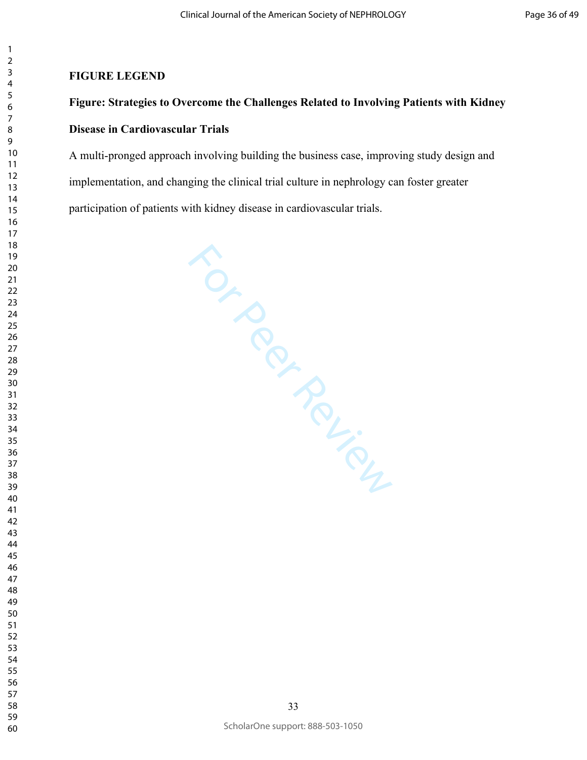### **FIGURE LEGEND**

# **Figure: Strategies to Overcome the Challenges Related to Involving Patients with Kidney Disease in Cardiovascular Trials**

A multi-pronged approach involving building the business case, improving study design and implementation, and changing the clinical trial culture in nephrology can foster greater participation of patients with kidney disease in cardiovascular trials.

**FOR PROPINGULAR**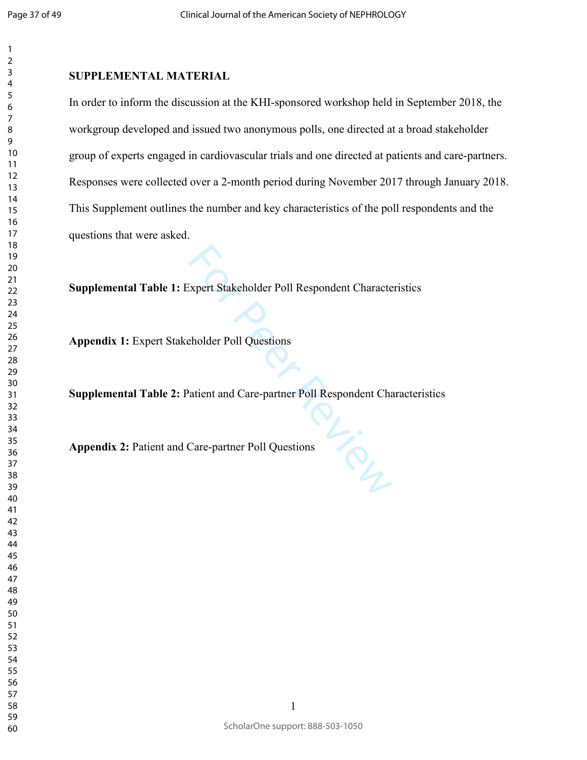$\mathbf{1}$ 

 

### **SUPPLEMENTAL MATERIAL**

In order to inform the discussion at the KHI-sponsored workshop held in September 2018, the workgroup developed and issued two anonymous polls, one directed at a broad stakeholder group of experts engaged in cardiovascular trials and one directed at patients and care-partners. Responses were collected over a 2-month period during November 2017 through January 2018. This Supplement outlines the number and key characteristics of the poll respondents and the questions that were asked.

**Supplemental Table 1:** Expert Stakeholder Poll Respondent Characteristics

**Appendix 1:** Expert Stakeholder Poll Questions

**Supplemental Table 2:** Patient and Care-partner Poll Respondent Characteristics

Ry. **Appendix 2:** Patient and Care-partner Poll Questions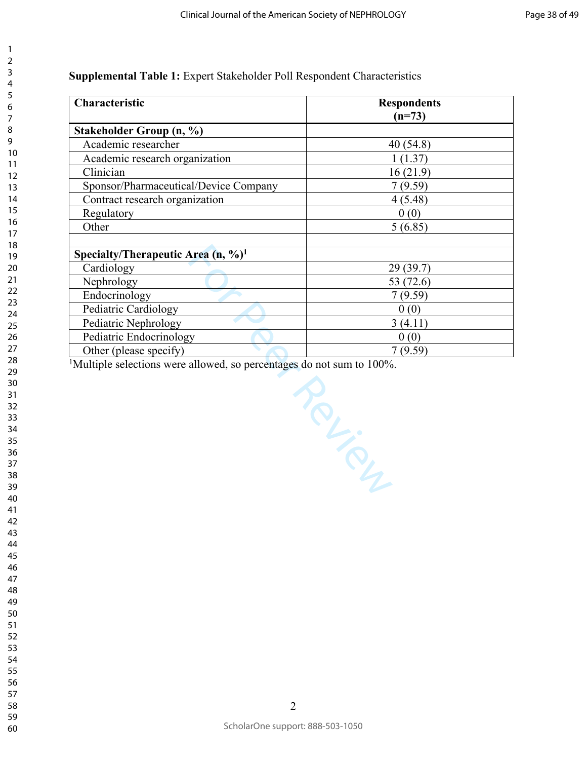**Supplemental Table 1:** Expert Stakeholder Poll Respondent Characteristics

| Characteristic                                   | <b>Respondents</b><br>$(n=73)$ |
|--------------------------------------------------|--------------------------------|
| Stakeholder Group (n, %)                         |                                |
| Academic researcher                              | 40(54.8)                       |
| Academic research organization                   | 1(1.37)                        |
| Clinician                                        | 16(21.9)                       |
| Sponsor/Pharmaceutical/Device Company            | 7(9.59)                        |
| Contract research organization                   | 4(5.48)                        |
| Regulatory                                       | 0(0)                           |
| Other                                            | 5(6.85)                        |
| Specialty/Therapeutic Area $(n, %)$ <sup>1</sup> |                                |
| Cardiology                                       | 29(39.7)                       |
| Nephrology                                       | 53 (72.6)                      |
| Endocrinology                                    | 7(9.59)                        |
| Pediatric Cardiology                             | 0(0)                           |
| Pediatric Nephrology                             | 3(4.11)                        |
| Pediatric Endocrinology                          | 0(0)                           |
| Other (please specify)                           | 7(9.59)                        |

Review Review

<sup>1</sup>Multiple selections were allowed, so percentages do not sum to 100%.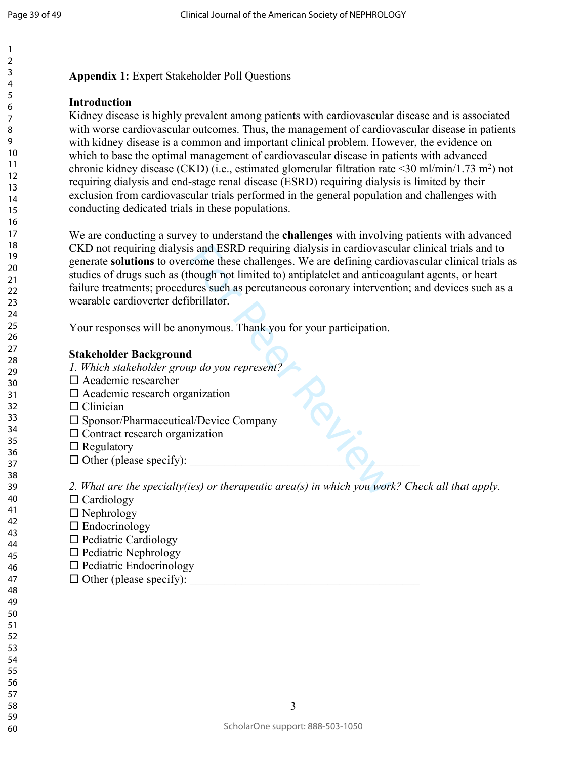### **Appendix 1:** Expert Stakeholder Poll Questions

### **Introduction**

Kidney disease is highly prevalent among patients with cardiovascular disease and is associated with worse cardiovascular outcomes. Thus, the management of cardiovascular disease in patients with kidney disease is a common and important clinical problem. However, the evidence on which to base the optimal management of cardiovascular disease in patients with advanced chronic kidney disease (CKD) (i.e., estimated glomerular filtration rate <30 ml/min/1.73 m 2 ) not requiring dialysis and end-stage renal disease (ESRD) requiring dialysis is limited by their exclusion from cardiovascular trials performed in the general population and challenges with conducting dedicated trials in these populations.

is and ESRD requiring dialysis in cardiovasc<br>
come these challenges. We are defining card<br>
hough not limited to) antiplatelet and anticoa<br>
ures such as percutaneous coronary intervent<br>
ibrillator.<br>
onymous. Thank you for y We are conducting a survey to understand the **challenges** with involving patients with advanced CKD not requiring dialysis and ESRD requiring dialysis in cardiovascular clinical trials and to generate **solutions** to overcome these challenges. We are defining cardiovascular clinical trials as studies of drugs such as (though not limited to) antiplatelet and anticoagulant agents, or heart failure treatments; procedures such as percutaneous coronary intervention; and devices such as a wearable cardioverter defibrillator.

Your responses will be anonymous. Thank you for your participation.

### **Stakeholder Background**

- *1. Which stakeholder group do you represent?*
- □ Academic researcher
- $\square$  Academic research organization
- $\Box$  Clinician
- □ Sponsor/Pharmaceutical/Device Company
- $\square$  Contract research organization
- $\Box$  Regulatory
- $\Box$  Other (please specify):

*2. What are the specialty(ies) or therapeutic area(s) in which you work? Check all that apply.* 

- $\Box$  Cardiology
- $\Box$  Nephrology
- $\square$  Endocrinology
- $\Box$  Pediatric Cardiology
- $\Box$  Pediatric Nephrology
	- $\Box$  Pediatric Endocrinology
		- $\Box$  Other (please specify):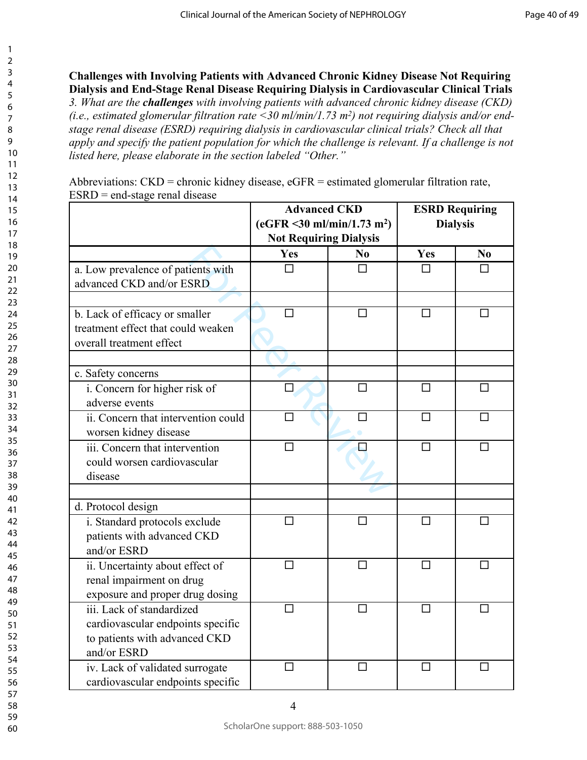### **Challenges with Involving Patients with Advanced Chronic Kidney Disease Not Requiring Dialysis and End-Stage Renal Disease Requiring Dialysis in Cardiovascular Clinical Trials**

*3. What are the challenges with involving patients with advanced chronic kidney disease (CKD) (i.e., estimated glomerular filtration rate <30 ml/min/1.73 m<sup>2</sup> ) not requiring dialysis and/or endstage renal disease (ESRD) requiring dialysis in cardiovascular clinical trials? Check all that apply and specify the patient population for which the challenge is relevant. If a challenge is not listed here, please elaborate in the section labeled "Other."* 

|                                                                                                                | <b>Advanced CKD</b><br>$(eGFR < 30 \text{ ml/min}/1.73 \text{ m}^2)$<br><b>Not Requiring Dialysis</b> |                | <b>ESRD Requiring</b><br><b>Dialysis</b> |    |
|----------------------------------------------------------------------------------------------------------------|-------------------------------------------------------------------------------------------------------|----------------|------------------------------------------|----|
|                                                                                                                | Yes                                                                                                   | N <sub>0</sub> | Yes                                      | No |
| a. Low prevalence of patients with<br>advanced CKD and/or ESRD                                                 | П                                                                                                     | п              | п                                        | П  |
|                                                                                                                |                                                                                                       |                |                                          |    |
| b. Lack of efficacy or smaller<br>treatment effect that could weaken<br>overall treatment effect               |                                                                                                       | □              | □                                        | □  |
|                                                                                                                |                                                                                                       |                |                                          |    |
| c. Safety concerns                                                                                             |                                                                                                       |                |                                          |    |
| i. Concern for higher risk of<br>adverse events                                                                | $\Box$                                                                                                | $\Box$         | $\Box$                                   | П  |
| ii. Concern that intervention could<br>worsen kidney disease                                                   |                                                                                                       | П              | П                                        | П  |
| iii. Concern that intervention<br>could worsen cardiovascular<br>disease                                       |                                                                                                       |                | П                                        | П  |
|                                                                                                                |                                                                                                       |                |                                          |    |
| d. Protocol design                                                                                             |                                                                                                       |                |                                          |    |
| i. Standard protocols exclude<br>patients with advanced CKD<br>and/or ESRD                                     | ΙI                                                                                                    | ΙI             | ΙI                                       |    |
| ii. Uncertainty about effect of<br>renal impairment on drug<br>exposure and proper drug dosing                 | $\Box$                                                                                                | $\Box$         | П                                        | П  |
| iii. Lack of standardized<br>cardiovascular endpoints specific<br>to patients with advanced CKD<br>and/or ESRD | П                                                                                                     | П              | П                                        | П  |
| iv. Lack of validated surrogate<br>cardiovascular endpoints specific                                           |                                                                                                       |                | П                                        |    |

Abbreviations: CKD = chronic kidney disease, eGFR = estimated glomerular filtration rate,  $ESRD = end-stage \, real \, disease$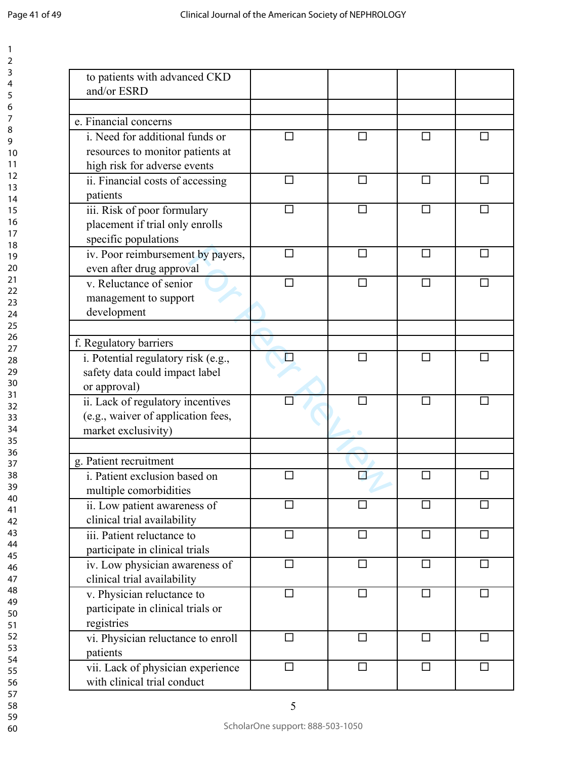| to patients with advanced CKD<br>and/or ESRD |                |        |              |        |
|----------------------------------------------|----------------|--------|--------------|--------|
|                                              |                |        |              |        |
| e. Financial concerns                        |                |        |              |        |
| i. Need for additional funds or              |                | П      | П            | ΙI     |
| resources to monitor patients at             |                |        |              |        |
| high risk for adverse events                 |                |        |              |        |
| ii. Financial costs of accessing             | П              | П      | П            | П      |
| patients                                     |                |        |              |        |
| iii. Risk of poor formulary                  |                |        |              |        |
| placement if trial only enrolls              |                |        |              |        |
| specific populations                         |                |        |              |        |
| iv. Poor reimbursement by payers,            | П              | П      | П            | П      |
| even after drug approval                     |                |        |              |        |
| v. Reluctance of senior                      |                |        | П            | $\Box$ |
| management to support                        |                |        |              |        |
| development                                  |                |        |              |        |
|                                              |                |        |              |        |
| f. Regulatory barriers                       |                |        |              |        |
| i. Potential regulatory risk (e.g.,          |                | П      | П            | П      |
| safety data could impact label               |                |        |              |        |
| or approval)                                 |                |        |              |        |
| ii. Lack of regulatory incentives            |                |        | П            | П      |
| (e.g., waiver of application fees,           |                |        |              |        |
| market exclusivity)                          |                |        |              |        |
|                                              |                |        |              |        |
| g. Patient recruitment                       |                |        |              |        |
| i. Patient exclusion based on                |                |        | $\mathsf{L}$ |        |
| multiple comorbidities                       |                |        |              |        |
| ii. Low patient awareness of                 | $\overline{a}$ | П      | П            | П      |
| clinical trial availability                  |                |        |              |        |
| iii. Patient reluctance to                   | □              | □      | $\Box$       | □      |
| participate in clinical trials               |                |        |              |        |
| iv. Low physician awareness of               | П              | П      | $\Box$       | □      |
| clinical trial availability                  |                |        |              |        |
| v. Physician reluctance to                   | $\Box$         | $\Box$ | $\Box$       | $\Box$ |
| participate in clinical trials or            |                |        |              |        |
| registries                                   |                |        |              |        |
| vi. Physician reluctance to enroll           | ⊔              | □      | □            | □      |
| patients                                     |                |        |              |        |
| vii. Lack of physician experience            | □              | П      | $\Box$       | □      |
| with clinical trial conduct                  |                |        |              |        |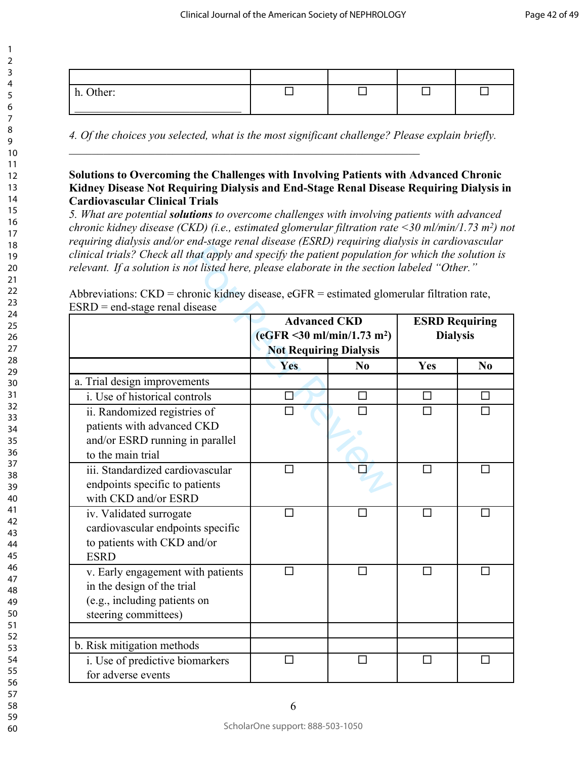| Other:<br>11. |  |  |
|---------------|--|--|

*4. Of the choices you selected, what is the most significant challenge? Please explain briefly.* 

 $\mathcal{L}_\text{max}$  and the contract of the contract of the contract of the contract of the contract of the contract of

### **Solutions to Overcoming the Challenges with Involving Patients with Advanced Chronic Kidney Disease Not Requiring Dialysis and End-Stage Renal Disease Requiring Dialysis in Cardiovascular Clinical Trials**

*5. What are potential solutions to overcome challenges with involving patients with advanced chronic kidney disease (CKD) (i.e., estimated glomerular filtration rate <30 ml/min/1.73 m<sup>2</sup> ) not requiring dialysis and/or end-stage renal disease (ESRD) requiring dialysis in cardiovascular clinical trials? Check all that apply and specify the patient population for which the solution is relevant. If a solution is not listed here, please elaborate in the section labeled "Other."* 

| clinical trials? Check all that apply and specify the patient population for which the solution is |                                               |        |                       |                |
|----------------------------------------------------------------------------------------------------|-----------------------------------------------|--------|-----------------------|----------------|
| relevant. If a solution is not listed here, please elaborate in the section labeled "Other."       |                                               |        |                       |                |
| Abbreviations: $CKD =$ chronic kidney disease, $eGFR =$ estimated glomerular filtration rate,      |                                               |        |                       |                |
| $ESRD = end-stage \text{ renal disease}$                                                           |                                               |        |                       |                |
|                                                                                                    | <b>Advanced CKD</b>                           |        | <b>ESRD Requiring</b> |                |
|                                                                                                    | $(eGFR < 30 \text{ ml/min}/1.73 \text{ m}^2)$ |        | <b>Dialysis</b>       |                |
|                                                                                                    | <b>Not Requiring Dialysis</b>                 |        |                       |                |
|                                                                                                    | Yes                                           | No     | Yes                   | N <sub>0</sub> |
| a. Trial design improvements                                                                       |                                               |        |                       |                |
| i. Use of historical controls                                                                      |                                               | $\Box$ | $\Box$                | □              |
| ii. Randomized registries of                                                                       |                                               |        | $\Box$                | П              |
| patients with advanced CKD                                                                         |                                               |        |                       |                |
| and/or ESRD running in parallel                                                                    |                                               |        |                       |                |
| to the main trial                                                                                  |                                               |        |                       |                |
| iii. Standardized cardiovascular                                                                   | П                                             |        | П                     | $\mathsf{L}$   |
| endpoints specific to patients                                                                     |                                               |        |                       |                |
| with CKD and/or ESRD                                                                               |                                               |        |                       |                |
| iv. Validated surrogate                                                                            | П                                             |        | $\Box$                | П              |
| cardiovascular endpoints specific                                                                  |                                               |        |                       |                |
| to patients with CKD and/or                                                                        |                                               |        |                       |                |
| <b>ESRD</b>                                                                                        |                                               |        |                       |                |
| v. Early engagement with patients                                                                  |                                               | П      | П                     | □              |
| in the design of the trial                                                                         |                                               |        |                       |                |
| (e.g., including patients on                                                                       |                                               |        |                       |                |
| steering committees)                                                                               |                                               |        |                       |                |
|                                                                                                    |                                               |        |                       |                |
| b. Risk mitigation methods                                                                         |                                               |        |                       |                |
| i. Use of predictive biomarkers                                                                    |                                               |        | $\mathsf{L}$          |                |
| for adverse events                                                                                 |                                               |        |                       |                |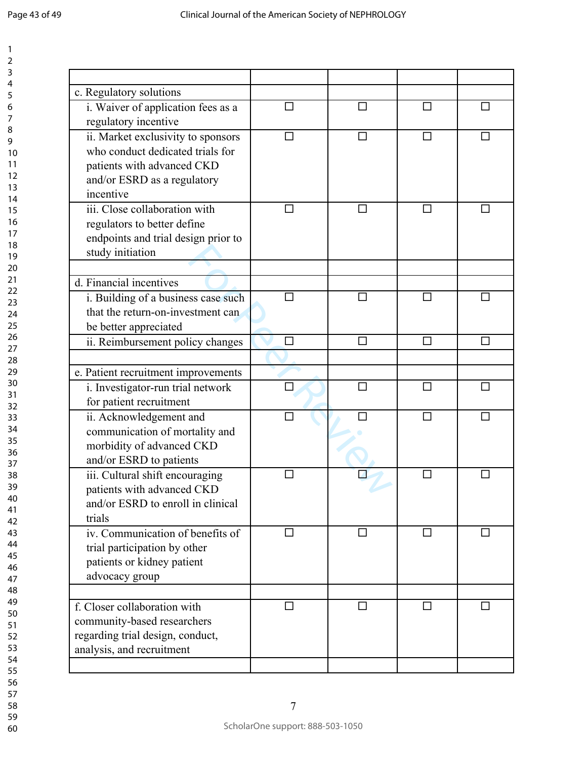| c. Regulatory solutions                                                                                                                          |        |        |   |        |
|--------------------------------------------------------------------------------------------------------------------------------------------------|--------|--------|---|--------|
| i. Waiver of application fees as a<br>regulatory incentive                                                                                       |        |        |   | П      |
| ii. Market exclusivity to sponsors<br>who conduct dedicated trials for<br>patients with advanced CKD<br>and/or ESRD as a regulatory<br>incentive |        | П      |   | П      |
| iii. Close collaboration with<br>regulators to better define<br>endpoints and trial design prior to<br>study initiation                          | П      | □      | П | П      |
|                                                                                                                                                  |        |        |   |        |
| d. Financial incentives<br>i. Building of a business case such<br>that the return-on-investment can<br>be better appreciated                     |        |        |   |        |
| ii. Reimbursement policy changes                                                                                                                 | $\Box$ | $\Box$ | П | П      |
|                                                                                                                                                  |        |        |   |        |
| e. Patient recruitment improvements                                                                                                              |        |        |   |        |
| i. Investigator-run trial network<br>for patient recruitment                                                                                     | П      | П      | П | П      |
| ii. Acknowledgement and<br>communication of mortality and<br>morbidity of advanced CKD<br>and/or ESRD to patients                                |        |        | П | $\Box$ |
| iii. Cultural shift encouraging<br>patients with advanced CKD<br>and/or ESRD to enroll in clinical<br>trials                                     |        |        |   |        |
| iv. Communication of benefits of<br>trial participation by other<br>patients or kidney patient<br>advocacy group                                 | П      | П      | П | П      |
| f. Closer collaboration with                                                                                                                     | п      | □      | П | □      |
| community-based researchers                                                                                                                      |        |        |   |        |
| regarding trial design, conduct,<br>analysis, and recruitment                                                                                    |        |        |   |        |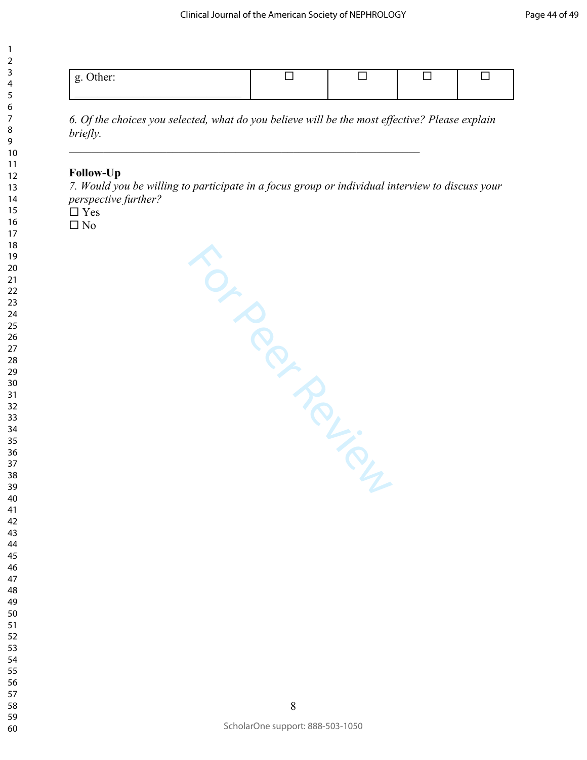| $-1$<br>- |  |  |
|-----------|--|--|
|           |  |  |

*6. Of the choices you selected, what do you believe will be the most effective? Please explain briefly.* 

 $\mathcal{L}_\text{max}$  , and the contract of the contract of the contract of the contract of the contract of the contract of

### **Follow-Up**

*7. Would you be willing to participate in a focus group or individual interview to discuss your perspective further?*

 $\Box$  Yes

 $\square$  No

For Peerings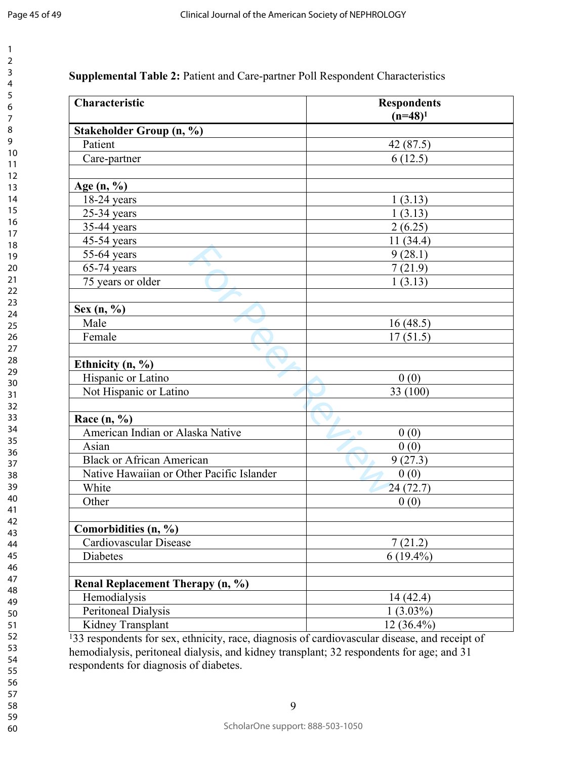$\mathbf{1}$  $\overline{2}$ 3  $\overline{4}$ 5 6  $\overline{7}$ 8 9

| Characteristic                            | <b>Respondents</b> |
|-------------------------------------------|--------------------|
|                                           | $(n=48)^1$         |
| Stakeholder Group (n, %)                  |                    |
| Patient                                   | 42(87.5)           |
| Care-partner                              | 6(12.5)            |
| Age $(n, %)$                              |                    |
| $18-24$ years                             | 1(3.13)            |
| $25-34$ years                             | 1(3.13)            |
| 35-44 years                               | 2(6.25)            |
| 45-54 years                               | 11(34.4)           |
| 55-64 years                               | 9(28.1)            |
| $65-74$ years                             | 7(21.9)            |
| 75 years or older                         | 1(3.13)            |
| Sex $(n, %)$                              |                    |
| Male                                      | 16(48.5)           |
| Female                                    | 17(51.5)           |
|                                           |                    |
| Ethnicity $(n, %)$                        |                    |
| Hispanic or Latino                        | 0(0)               |
| Not Hispanic or Latino                    | 33 (100)           |
| Race $(n, %)$                             |                    |
| American Indian or Alaska Native          | 0(0)               |
| Asian                                     | 0(0)               |
| <b>Black or African American</b>          | 9(27.3)            |
| Native Hawaiian or Other Pacific Islander | 0(0)               |
| White                                     | 24(72.7)           |
| Other                                     | 0(0)               |
| Comorbidities (n, %)                      |                    |
| Cardiovascular Disease                    | 7(21.2)            |
| Diabetes                                  | $6(19.4\%)$        |
| Renal Replacement Therapy (n, %)          |                    |
| Hemodialysis                              | 14(42.4)           |
| Peritoneal Dialysis                       | $1(3.03\%)$        |
| Kidney Transplant                         | 12 (36.4%)         |

<sup>1</sup>33 respondents for sex, ethnicity, race, diagnosis of cardiovascular disease, and receipt of hemodialysis, peritoneal dialysis, and kidney transplant; 32 respondents for age; and 31 respondents for diagnosis of diabetes.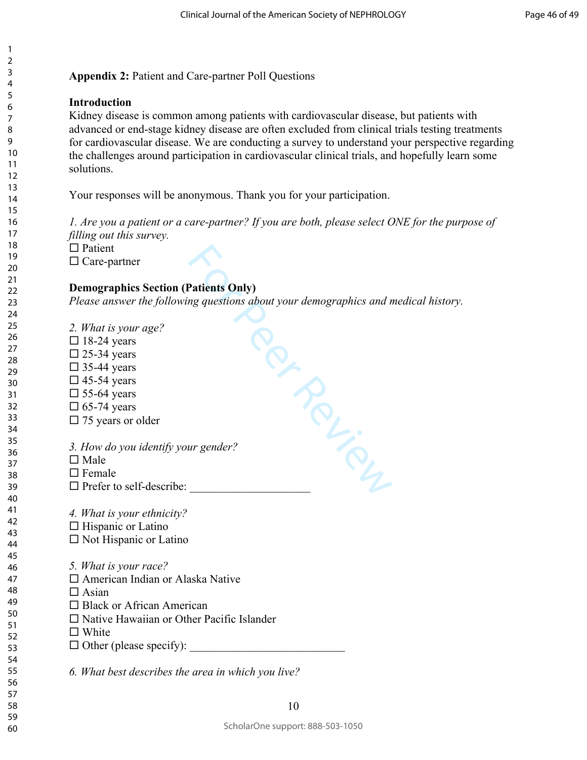1

### **Appendix 2:** Patient and Care-partner Poll Questions

### **Introduction**

Kidney disease is common among patients with cardiovascular disease, but patients with advanced or end-stage kidney disease are often excluded from clinical trials testing treatments for cardiovascular disease. We are conducting a survey to understand your perspective regarding the challenges around participation in cardiovascular clinical trials, and hopefully learn some solutions.

Your responses will be anonymous. Thank you for your participation.

*1. Are you a patient or a care-partner? If you are both, please select ONE for the purpose of filling out this survey.* 

**For Percy** 

 $\Box$  Patient

 $\Box$  Care-partner

### **Demographics Section (Patients Only)**

*Please answer the following questions about your demographics and medical history.* 

*2. What is your age?*   $\Box$  18-24 years  $\square$  25-34 years  $\Box$  35-44 years  $\square$  45-54 years  $\square$  55-64 years  $\square$  65-74 years  $\Box$  75 years or older

*3. How do you identify your gender?*

- $\square$  Male
- $\Box$  Female
- $\square$  Prefer to self-describe:
- *4. What is your ethnicity?*
- $\Box$  Hispanic or Latino
- $\square$  Not Hispanic or Latino
- *5. What is your race?*
- □ American Indian or Alaska Native
- $\Box$  Asian
- □ Black or African American
- $\square$  Native Hawaiian or Other Pacific Islander
- □ White
- $\Box$  Other (please specify):

*6. What best describes the area in which you live?*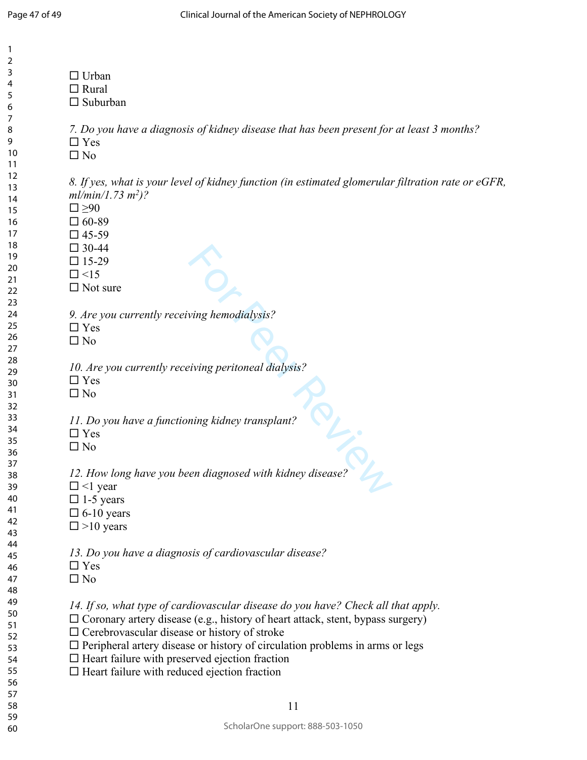| $\Box$ Urban<br>$\Box$ Rural<br>$\Box$ Suburban                                                                                                                                                                                                                                                                                                                                                                                          |
|------------------------------------------------------------------------------------------------------------------------------------------------------------------------------------------------------------------------------------------------------------------------------------------------------------------------------------------------------------------------------------------------------------------------------------------|
| 7. Do you have a diagnosis of kidney disease that has been present for at least 3 months?<br>$\Box$ Yes<br>$\square$ No                                                                                                                                                                                                                                                                                                                  |
| 8. If yes, what is your level of kidney function (in estimated glomerular filtration rate or eGFR,<br>$ml/min/1.73 m2)$ ?<br>$\square \geq 90$<br>$\Box$ 60-89<br>$\Box$ 45-59<br>$\Box$ 30-44<br>$\Box$ 15-29<br>$\Box$ <15<br>$\Box$ Not sure                                                                                                                                                                                          |
| 9. Are you currently receiving hemodialysis?<br>$\Box$ Yes<br>$\square$ No                                                                                                                                                                                                                                                                                                                                                               |
| 10. Are you currently receiving peritoneal dialysis?<br>$\Box$ Yes<br>$\square$ No                                                                                                                                                                                                                                                                                                                                                       |
| 11. Do you have a functioning kidney transplant?<br>$\Box$ Yes<br>$\square$ No                                                                                                                                                                                                                                                                                                                                                           |
| 12. How long have you been diagnosed with kidney disease?<br>$\Box$ <1 year<br>$\Box$ 1-5 years<br>$\square$ 6-10 years<br>$\square > 10$ years                                                                                                                                                                                                                                                                                          |
| 13. Do you have a diagnosis of cardiovascular disease?<br>$\Box$ Yes<br>$\square$ No                                                                                                                                                                                                                                                                                                                                                     |
| 14. If so, what type of cardiovascular disease do you have? Check all that apply.<br>$\Box$ Coronary artery disease (e.g., history of heart attack, stent, bypass surgery)<br>$\Box$ Cerebrovascular disease or history of stroke<br>$\Box$ Peripheral artery disease or history of circulation problems in arms or legs<br>$\Box$ Heart failure with preserved ejection fraction<br>$\Box$ Heart failure with reduced ejection fraction |
| 11                                                                                                                                                                                                                                                                                                                                                                                                                                       |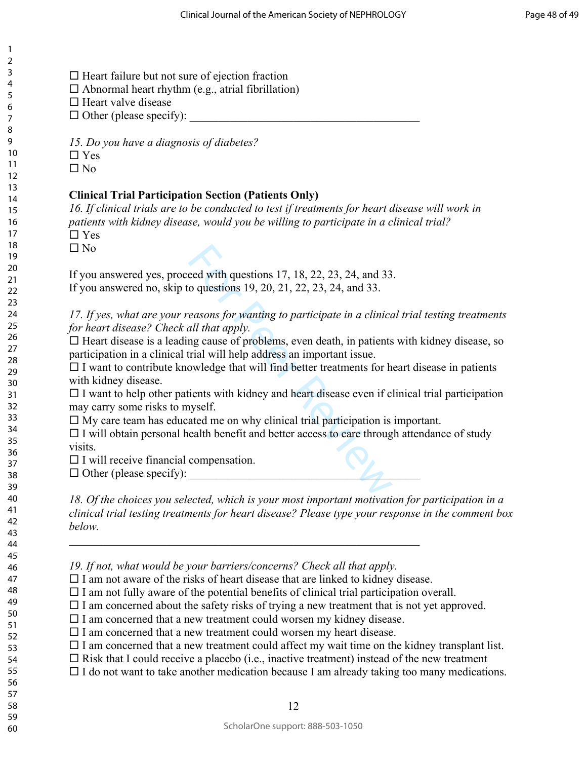60

1

 $\Box$  Heart failure but not sure of ejection fraction

 $\Box$  Abnormal heart rhythm (e.g., atrial fibrillation)

 $\Box$  Heart valve disease

 $\Box$  Other (please specify):

*15. Do you have a diagnosis of diabetes?* 

 $\Box$  Yes

 $\square$  No

### **Clinical Trial Participation Section (Patients Only)**

*16. If clinical trials are to be conducted to test if treatments for heart disease will work in patients with kidney disease, would you be willing to participate in a clinical trial?* □ Yes

 $\Box$  No

If you answered yes, proceed with questions 17, 18, 22, 23, 24, and 33. If you answered no, skip to questions 19, 20, 21, 22, 23, 24, and 33.

*17. If yes, what are your reasons for wanting to participate in a clinical trial testing treatments for heart disease? Check all that apply.*

 $\Box$  Heart disease is a leading cause of problems, even death, in patients with kidney disease, so participation in a clinical trial will help address an important issue.

 $\Box$  I want to contribute knowledge that will find better treatments for heart disease in patients with kidney disease.

eed with questions 17, 18, 22, 23, 24, and 33<br>o questions 19, 20, 21, 22, 23, 24, and 33.<br>easons for wanting to participate in a clinica<br>all that apply.<br>mg cause of problems, even death, in patients<br>trial will help address  $\Box$  I want to help other patients with kidney and heart disease even if clinical trial participation may carry some risks to myself.

 $\Box$  My care team has educated me on why clinical trial participation is important.

 $\Box$  I will obtain personal health benefit and better access to care through attendance of study visits.

 $\Box$  I will receive financial compensation.

 $\Box$  Other (please specify):

*18. Of the choices you selected, which is your most important motivation for participation in a clinical trial testing treatments for heart disease? Please type your response in the comment box below.* 

*19. If not, what would be your barriers/concerns? Check all that apply.*

 $\Box$  I am not aware of the risks of heart disease that are linked to kidney disease.

 $\mathcal{L}_\text{max}$  , and the contribution of the contribution of the contribution of the contribution of the contribution of the contribution of the contribution of the contribution of the contribution of the contribution of t

 $\Box$  I am not fully aware of the potential benefits of clinical trial participation overall.

 $\Box$  I am concerned about the safety risks of trying a new treatment that is not yet approved.

 $\Box$  I am concerned that a new treatment could worsen my kidney disease.

 $\Box$  I am concerned that a new treatment could worsen my heart disease.

 $\Box$  I am concerned that a new treatment could affect my wait time on the kidney transplant list.

 $\Box$  Risk that I could receive a placebo (i.e., inactive treatment) instead of the new treatment

 $\Box$  I do not want to take another medication because I am already taking too many medications.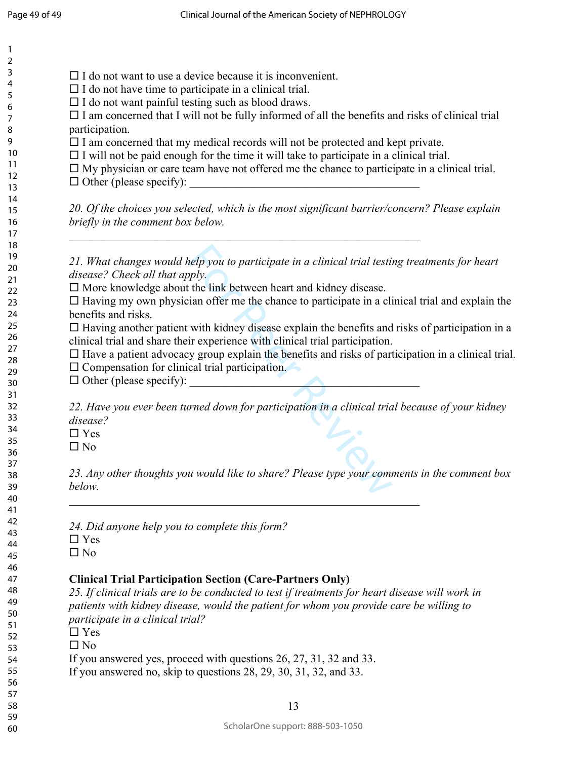$\mathbf{1}$ 

| $\Box$ I do not want to use a device because it is inconvenient. |                                                                                                           |
|------------------------------------------------------------------|-----------------------------------------------------------------------------------------------------------|
| $\Box$ I do not have time to participate in a clinical trial.    |                                                                                                           |
| $\Box$ I do not want painful testing such as blood draws.        |                                                                                                           |
|                                                                  | $\Box$ I am concerned that I will not be fully informed of all the benefits and risks of clinical trial   |
| participation.                                                   |                                                                                                           |
|                                                                  | $\square$ I am concerned that my medical records will not be protected and kept private.                  |
|                                                                  | $\Box$ I will not be paid enough for the time it will take to participate in a clinical trial.            |
|                                                                  | $\Box$ My physician or care team have not offered me the chance to participate in a clinical trial.       |
|                                                                  |                                                                                                           |
|                                                                  | 20. Of the choices you selected, which is the most significant barrier/concern? Please explain            |
| briefly in the comment box below.                                |                                                                                                           |
|                                                                  | 21. What changes would help you to participate in a clinical trial testing treatments for heart           |
| disease? Check all that apply.                                   |                                                                                                           |
|                                                                  | $\square$ More knowledge about the link between heart and kidney disease.                                 |
|                                                                  | $\Box$ Having my own physician offer me the chance to participate in a clinical trial and explain the     |
| benefits and risks.                                              |                                                                                                           |
|                                                                  | $\Box$ Having another patient with kidney disease explain the benefits and risks of participation in a    |
|                                                                  | clinical trial and share their experience with clinical trial participation.                              |
|                                                                  | $\Box$ Have a patient advocacy group explain the benefits and risks of participation in a clinical trial. |
| $\square$ Compensation for clinical trial participation.         |                                                                                                           |
|                                                                  | $\Box$ Other (please specify): $\Box$                                                                     |
|                                                                  |                                                                                                           |
| disease?                                                         | 22. Have you ever been turned down for participation in a clinical trial because of your kidney           |
| $\Box$ Yes                                                       |                                                                                                           |
| $\square$ No                                                     |                                                                                                           |
|                                                                  |                                                                                                           |
|                                                                  | 23. Any other thoughts you would like to share? Please type your comments in the comment box              |
| below.                                                           |                                                                                                           |
|                                                                  |                                                                                                           |
| 24. Did anyone help you to complete this form?<br>$\Box$ Yes     |                                                                                                           |
| $\square$ No                                                     |                                                                                                           |
|                                                                  |                                                                                                           |
| <b>Clinical Trial Participation Section (Care-Partners Only)</b> |                                                                                                           |
|                                                                  | 25. If clinical trials are to be conducted to test if treatments for heart disease will work in           |
|                                                                  | patients with kidney disease, would the patient for whom you provide care be willing to                   |
| participate in a clinical trial?                                 |                                                                                                           |
| $\Box$ Yes                                                       |                                                                                                           |
| $\square$ No                                                     |                                                                                                           |
|                                                                  | If you answered yes, proceed with questions 26, 27, 31, 32 and 33.                                        |
|                                                                  | If you answered no, skip to questions $28$ , $29$ , $30$ , $31$ , $32$ , and $33$ .                       |
|                                                                  |                                                                                                           |
|                                                                  |                                                                                                           |
|                                                                  | 13                                                                                                        |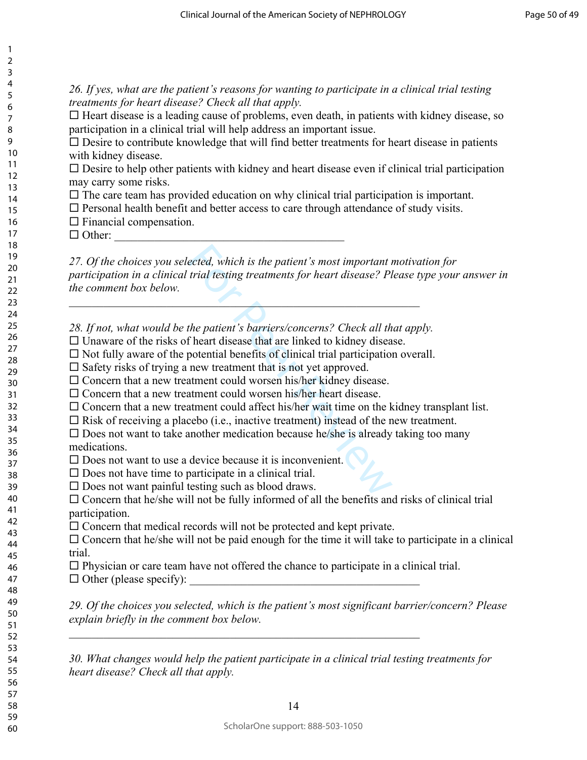*26. If yes, what are the patient's reasons for wanting to participate in a clinical trial testing treatments for heart disease? Check all that apply.* 

 $\Box$  Heart disease is a leading cause of problems, even death, in patients with kidney disease, so participation in a clinical trial will help address an important issue.

 $\square$  Desire to contribute knowledge that will find better treatments for heart disease in patients with kidney disease.

 $\square$  Desire to help other patients with kidney and heart disease even if clinical trial participation may carry some risks.

 $\Box$  The care team has provided education on why clinical trial participation is important.

 $\Box$  Personal health benefit and better access to care through attendance of study visits.

 $\square$  Financial compensation.

 $\Box$  Other:

ected, which is the patient's most important r<br>trial testing treatments for heart disease? Pl<br>trial testing treatments for heart disease? Pl<br>the patient's barriers/concerns? Check all th<br>f heart disease that are linked to *27. Of the choices you selected, which is the patient's most important motivation for participation in a clinical trial testing treatments for heart disease? Please type your answer in the comment box below.* 

*28. If not, what would be the patient's barriers/concerns? Check all that apply.*

 $\mathcal{L}=\mathcal{L}$ 

 $\Box$  Unaware of the risks of heart disease that are linked to kidney disease.

 $\Box$  Not fully aware of the potential benefits of clinical trial participation overall.

 $\square$  Safety risks of trying a new treatment that is not yet approved.

 $\square$  Concern that a new treatment could worsen his/her kidney disease.

 $\square$  Concern that a new treatment could worsen his/her heart disease.

 $\square$  Concern that a new treatment could affect his/her wait time on the kidney transplant list.

 $\Box$  Risk of receiving a placebo (i.e., inactive treatment) instead of the new treatment.

 $\square$  Does not want to take another medication because he/she is already taking too many medications.

 $\square$  Does not want to use a device because it is inconvenient.

- $\square$  Does not have time to participate in a clinical trial.
- $\square$  Does not want painful testing such as blood draws.

 $\square$  Concern that he/she will not be fully informed of all the benefits and risks of clinical trial participation.

 $\Box$  Concern that medical records will not be protected and kept private.

 $\square$  Concern that he/she will not be paid enough for the time it will take to participate in a clinical trial.

 $\square$  Physician or care team have not offered the chance to participate in a clinical trial.  $\Box$  Other (please specify):

 $\mathcal{L}_\text{max}$  , and the contribution of the contribution of the contribution of the contribution of the contribution of the contribution of the contribution of the contribution of the contribution of the contribution of t

*29. Of the choices you selected, which is the patient's most significant barrier/concern? Please explain briefly in the comment box below.* 

*30. What changes would help the patient participate in a clinical trial testing treatments for heart disease? Check all that apply.*